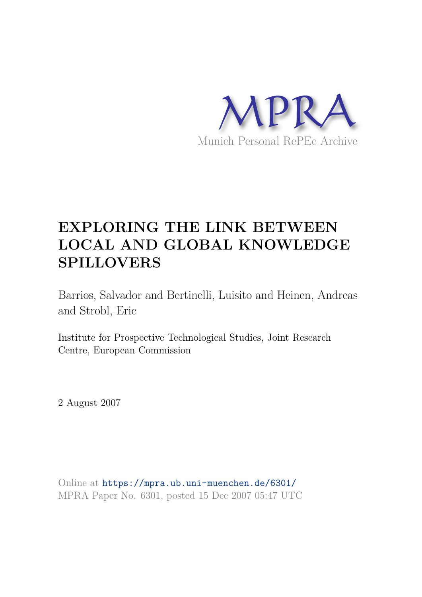

# **EXPLORING THE LINK BETWEEN LOCAL AND GLOBAL KNOWLEDGE SPILLOVERS**

Barrios, Salvador and Bertinelli, Luisito and Heinen, Andreas and Strobl, Eric

Institute for Prospective Technological Studies, Joint Research Centre, European Commission

2 August 2007

Online at https://mpra.ub.uni-muenchen.de/6301/ MPRA Paper No. 6301, posted 15 Dec 2007 05:47 UTC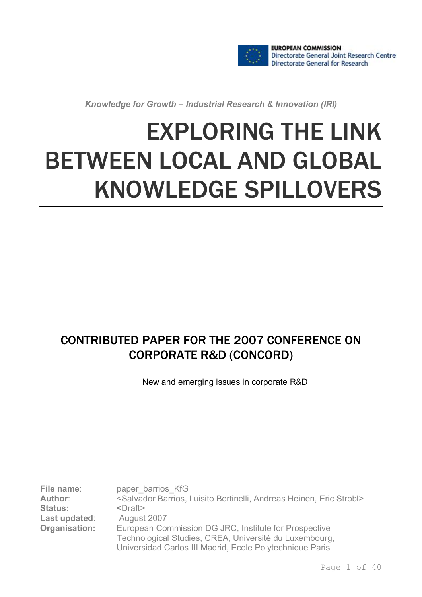

*Knowledge for Growth – Industrial Research & Innovation (IRI)*

# EXPLORING THE LINK BETWEEN LOCAL AND GLOBAL KNOWLEDGE SPILLOVERS

# CONTRIBUTED PAPER FOR THE 2007 CONFERENCE ON CORPORATE R&D (CONCORD)

New and emerging issues in corporate R&D

**File name:** paper barrios KfG **Author**: <Salvador Barrios, Luisito Bertinelli, Andreas Heinen, Eric Strobl> **Status:** <Draft><br> **Last updated:** August 2007 **Last updated: Organisation:** European Commission DG JRC, Institute for Prospective Technological Studies, CREA, Université du Luxembourg, Universidad Carlos III Madrid, Ecole Polytechnique Paris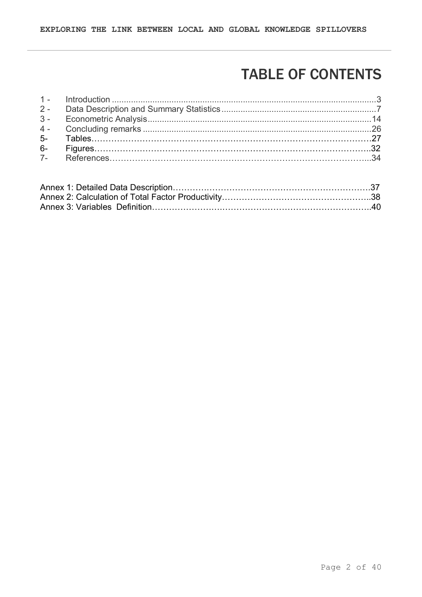# TABLE OF CONTENTS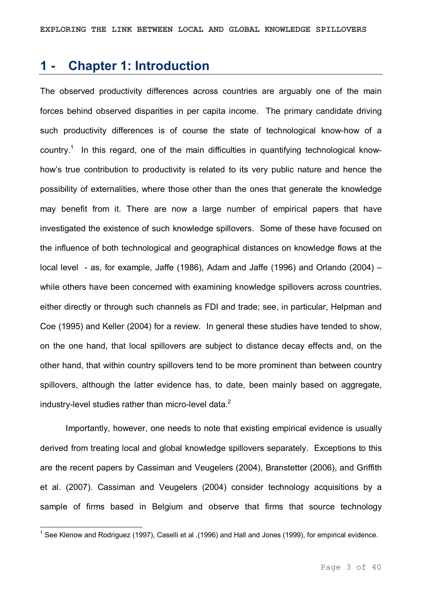### **1 Chapter 1: Introduction**

The observed productivity differences across countries are arguably one of the main forces behind observed disparities in per capita income. The primary candidate driving such productivity differences is of course the state of technological know-how of a country.<sup>1</sup> In this regard, one of the main difficulties in quantifying technological knowhow's true contribution to productivity is related to its very public nature and hence the possibility of externalities, where those other than the ones that generate the knowledge may benefit from it. There are now a large number of empirical papers that have investigated the existence of such knowledge spillovers. Some of these have focused on the influence of both technological and geographical distances on knowledge flows at the local level - as, for example, Jaffe (1986), Adam and Jaffe (1996) and Orlando (2004) – while others have been concerned with examining knowledge spillovers across countries, either directly or through such channels as FDI and trade; see, in particular, Helpman and Coe (1995) and Keller (2004) for a review. In general these studies have tended to show, on the one hand, that local spillovers are subject to distance decay effects and, on the other hand, that within country spillovers tend to be more prominent than between country spillovers, although the latter evidence has, to date, been mainly based on aggregate, industry-level studies rather than micro-level data. $2$ 

Importantly, however, one needs to note that existing empirical evidence is usually derived from treating local and global knowledge spillovers separately. Exceptions to this are the recent papers by Cassiman and Veugelers (2004), Branstetter (2006), and Griffith et al. (2007). Cassiman and Veugelers (2004) consider technology acquisitions by a sample of firms based in Belgium and observe that firms that source technology

<sup>&</sup>lt;sup>1</sup> See Klenow and Rodriguez (1997), Caselli et al .(1996) and Hall and Jones (1999), for empirical evidence.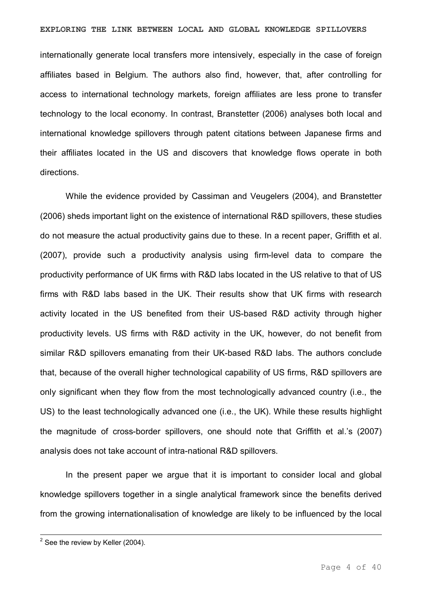#### **EXPLORING THE LINK BETWEEN LOCAL AND GLOBAL KNOWLEDGE SPILLOVERS**

internationally generate local transfers more intensively, especially in the case of foreign affiliates based in Belgium. The authors also find, however, that, after controlling for access to international technology markets, foreign affiliates are less prone to transfer technology to the local economy. In contrast, Branstetter (2006) analyses both local and international knowledge spillovers through patent citations between Japanese firms and their affiliates located in the US and discovers that knowledge flows operate in both directions.

While the evidence provided by Cassiman and Veugelers (2004), and Branstetter (2006) sheds important light on the existence of international R&D spillovers, these studies do not measure the actual productivity gains due to these. In a recent paper, Griffith et al. (2007), provide such a productivity analysis using firm-level data to compare the productivity performance of UK firms with R&D labs located in the US relative to that of US firms with R&D labs based in the UK. Their results show that UK firms with research activity located in the US benefited from their US-based R&D activity through higher productivity levels. US firms with R&D activity in the UK, however, do not benefit from similar R&D spillovers emanating from their UK-based R&D labs. The authors conclude that, because of the overall higher technological capability of US firms, R&D spillovers are only significant when they flow from the most technologically advanced country (i.e., the US) to the least technologically advanced one (i.e., the UK). While these results highlight the magnitude of cross-border spillovers, one should note that Griffith et al.'s (2007) analysis does not take account of intra-national R&D spillovers.

In the present paper we argue that it is important to consider local and global knowledge spillovers together in a single analytical framework since the benefits derived from the growing internationalisation of knowledge are likely to be influenced by the local

 $2$  See the review by Keller (2004).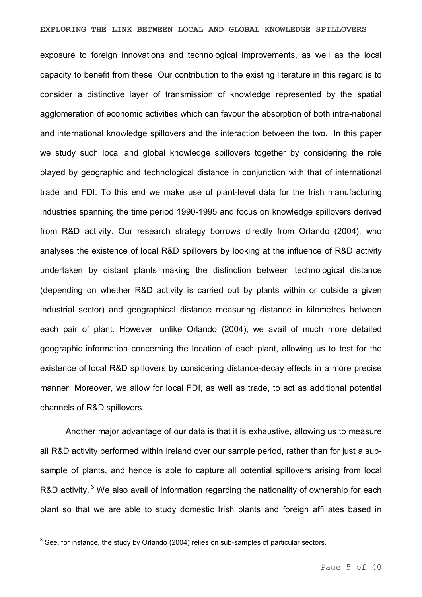exposure to foreign innovations and technological improvements, as well as the local capacity to benefit from these. Our contribution to the existing literature in this regard is to consider a distinctive layer of transmission of knowledge represented by the spatial agglomeration of economic activities which can favour the absorption of both intra-national and international knowledge spillovers and the interaction between the two. In this paper we study such local and global knowledge spillovers together by considering the role played by geographic and technological distance in conjunction with that of international trade and FDI. To this end we make use of plant-level data for the Irish manufacturing industries spanning the time period 1990-1995 and focus on knowledge spillovers derived from R&D activity. Our research strategy borrows directly from Orlando (2004), who analyses the existence of local R&D spillovers by looking at the influence of R&D activity undertaken by distant plants making the distinction between technological distance (depending on whether R&D activity is carried out by plants within or outside a given industrial sector) and geographical distance measuring distance in kilometres between each pair of plant. However, unlike Orlando (2004), we avail of much more detailed geographic information concerning the location of each plant, allowing us to test for the existence of local R&D spillovers by considering distance-decay effects in a more precise manner. Moreover, we allow for local FDI, as well as trade, to act as additional potential channels of R&D spillovers.

Another major advantage of our data is that it is exhaustive, allowing us to measure all R&D activity performed within Ireland over our sample period, rather than for just a sub sample of plants, and hence is able to capture all potential spillovers arising from local R&D activity.<sup>3</sup> We also avail of information regarding the nationality of ownership for each plant so that we are able to study domestic Irish plants and foreign affiliates based in

 $3$  See, for instance, the study by Orlando (2004) relies on sub-samples of particular sectors.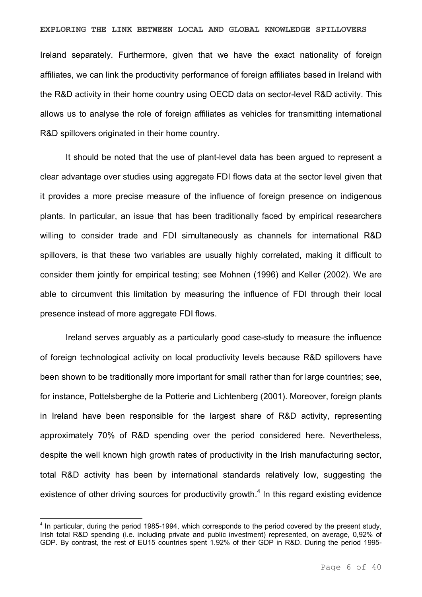#### **EXPLORING THE LINK BETWEEN LOCAL AND GLOBAL KNOWLEDGE SPILLOVERS**

Ireland separately. Furthermore, given that we have the exact nationality of foreign affiliates, we can link the productivity performance of foreign affiliates based in Ireland with the R&D activity in their home country using OECD data on sector-level R&D activity. This allows us to analyse the role of foreign affiliates as vehicles for transmitting international R&D spillovers originated in their home country.

It should be noted that the use of plant-level data has been argued to represent a clear advantage over studies using aggregate FDI flows data at the sector level given that it provides a more precise measure of the influence of foreign presence on indigenous plants. In particular, an issue that has been traditionally faced by empirical researchers willing to consider trade and FDI simultaneously as channels for international R&D spillovers, is that these two variables are usually highly correlated, making it difficult to consider them jointly for empirical testing; see Mohnen (1996) and Keller (2002). We are able to circumvent this limitation by measuring the influence of FDI through their local presence instead of more aggregate FDI flows.

Ireland serves arguably as a particularly good case-study to measure the influence of foreign technological activity on local productivity levels because R&D spillovers have been shown to be traditionally more important for small rather than for large countries; see, for instance, Pottelsberghe de la Potterie and Lichtenberg (2001). Moreover, foreign plants in Ireland have been responsible for the largest share of R&D activity, representing approximately 70% of R&D spending over the period considered here. Nevertheless, despite the well known high growth rates of productivity in the Irish manufacturing sector, total R&D activity has been by international standards relatively low, suggesting the existence of other driving sources for productivity growth.<sup>4</sup> In this regard existing evidence

 $4$  In particular, during the period 1985-1994, which corresponds to the period covered by the present study, Irish total R&D spending (i.e. including private and public investment) represented, on average, 0,92% of GDP. By contrast, the rest of EU15 countries spent 1.92% of their GDP in R&D. During the period 1995-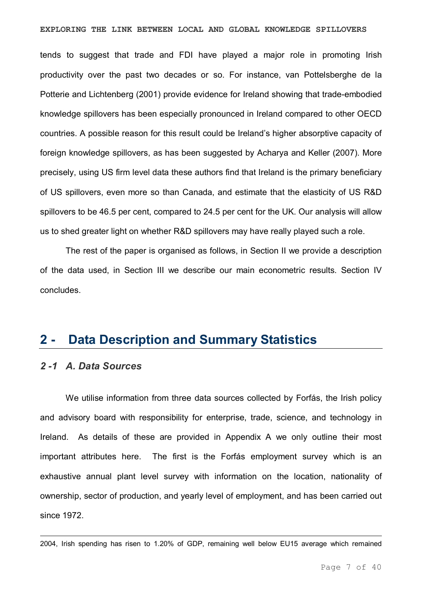#### **EXPLORING THE LINK BETWEEN LOCAL AND GLOBAL KNOWLEDGE SPILLOVERS**

tends to suggest that trade and FDI have played a major role in promoting Irish productivity over the past two decades or so. For instance, van Pottelsberghe de la Potterie and Lichtenberg (2001) provide evidence for Ireland showing that trade-embodied knowledge spillovers has been especially pronounced in Ireland compared to other OECD countries. A possible reason for this result could be Ireland's higher absorptive capacity of foreign knowledge spillovers, as has been suggested by Acharya and Keller (2007). More precisely, using US firm level data these authors find that Ireland is the primary beneficiary of US spillovers, even more so than Canada, and estimate that the elasticity of US R&D spillovers to be 46.5 per cent, compared to 24.5 per cent for the UK. Our analysis will allow us to shed greater light on whether R&D spillovers may have really played such a role.

The rest of the paper is organised as follows, in Section II we provide a description of the data used, in Section III we describe our main econometric results. Section IV concludes.

### **2 Data Description and Summary Statistics**

#### *2 1 A. Data Sources*

We utilise information from three data sources collected by Forfás, the Irish policy and advisory board with responsibility for enterprise, trade, science, and technology in Ireland. As details of these are provided in Appendix A we only outline their most important attributes here. The first is the Forfás employment survey which is an exhaustive annual plant level survey with information on the location, nationality of ownership, sector of production, and yearly level of employment, and has been carried out since 1972.

2004, Irish spending has risen to 1.20% of GDP, remaining well below EU15 average which remained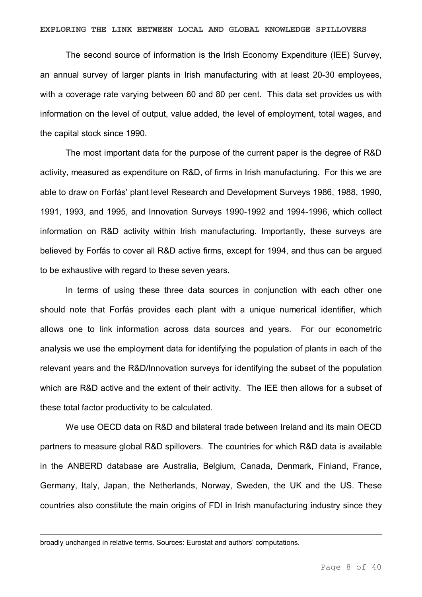The second source of information is the Irish Economy Expenditure (IEE) Survey, an annual survey of larger plants in Irish manufacturing with at least 20-30 employees, with a coverage rate varying between 60 and 80 per cent. This data set provides us with information on the level of output, value added, the level of employment, total wages, and the capital stock since 1990.

The most important data for the purpose of the current paper is the degree of R&D activity, measured as expenditure on R&D, of firms in Irish manufacturing. For this we are able to draw on Forfás' plant level Research and Development Surveys 1986, 1988, 1990, 1991, 1993, and 1995, and Innovation Surveys 1990-1992 and 1994-1996, which collect information on R&D activity within Irish manufacturing. Importantly, these surveys are believed by Forfás to cover all R&D active firms, except for 1994, and thus can be argued to be exhaustive with regard to these seven years.

In terms of using these three data sources in conjunction with each other one should note that Forfás provides each plant with a unique numerical identifier, which allows one to link information across data sources and years. For our econometric analysis we use the employment data for identifying the population of plants in each of the relevant years and the R&D/Innovation surveys for identifying the subset of the population which are R&D active and the extent of their activity. The IEE then allows for a subset of these total factor productivity to be calculated.

We use OECD data on R&D and bilateral trade between Ireland and its main OECD partners to measure global R&D spillovers. The countries for which R&D data is available in the ANBERD database are Australia, Belgium, Canada, Denmark, Finland, France, Germany, Italy, Japan, the Netherlands, Norway, Sweden, the UK and the US. These countries also constitute the main origins of FDI in Irish manufacturing industry since they

broadly unchanged in relative terms. Sources: Eurostat and authors' computations.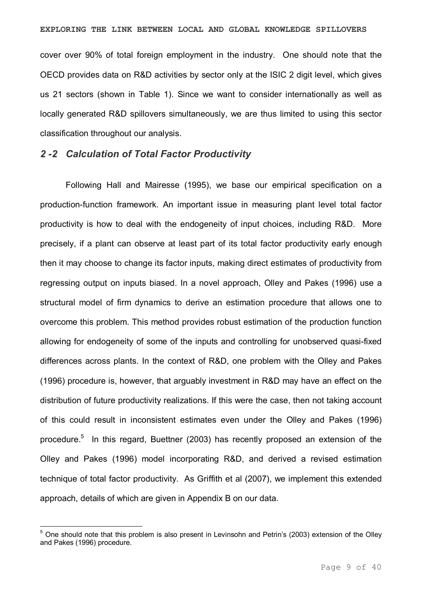cover over 90% of total foreign employment in the industry. One should note that the OECD provides data on R&D activities by sector only at the ISIC 2 digit level, which gives us 21 sectors (shown in Table 1). Since we want to consider internationally as well as locally generated R&D spillovers simultaneously, we are thus limited to using this sector classification throughout our analysis.

#### *2 2 Calculation of Total Factor Productivity*

Following Hall and Mairesse (1995), we base our empirical specification on a production-function framework. An important issue in measuring plant level total factor productivity is how to deal with the endogeneity of input choices, including R&D. More precisely, if a plant can observe at least part of its total factor productivity early enough then it may choose to change its factor inputs, making direct estimates of productivity from regressing output on inputs biased. In a novel approach, Olley and Pakes (1996) use a structural model of firm dynamics to derive an estimation procedure that allows one to overcome this problem. This method provides robust estimation of the production function allowing for endogeneity of some of the inputs and controlling for unobserved quasi-fixed differences across plants. In the context of R&D, one problem with the Olley and Pakes (1996) procedure is, however, that arguably investment in R&D may have an effect on the distribution of future productivity realizations. If this were the case, then not taking account of this could result in inconsistent estimates even under the Olley and Pakes (1996) procedure.<sup>5</sup> In this regard, Buettner (2003) has recently proposed an extension of the Olley and Pakes (1996) model incorporating R&D, and derived a revised estimation technique of total factor productivity. As Griffith et al (2007), we implement this extended approach, details of which are given in Appendix B on our data.

 $<sup>5</sup>$  One should note that this problem is also present in Levinsohn and Petrin's (2003) extension of the Olley</sup> and Pakes (1996) procedure.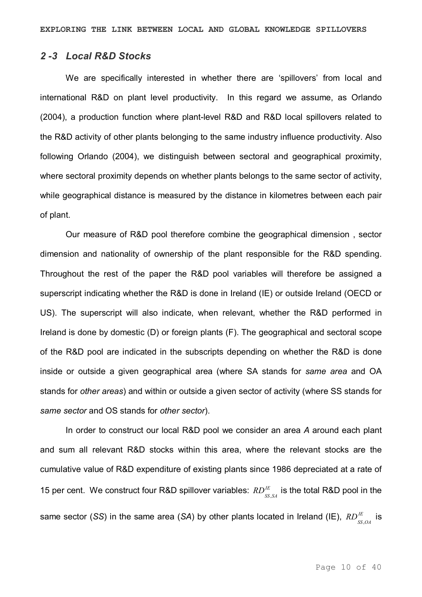#### *2 3 Local R&D Stocks*

We are specifically interested in whether there are 'spillovers' from local and international R&D on plant level productivity. In this regard we assume, as Orlando (2004), a production function where plant-level R&D and R&D local spillovers related to the R&D activity of other plants belonging to the same industry influence productivity. Also following Orlando (2004), we distinguish between sectoral and geographical proximity, where sectoral proximity depends on whether plants belongs to the same sector of activity, while geographical distance is measured by the distance in kilometres between each pair of plant.

Our measure of R&D pool therefore combine the geographical dimension , sector dimension and nationality of ownership of the plant responsible for the R&D spending. Throughout the rest of the paper the R&D pool variables will therefore be assigned a superscript indicating whether the R&D is done in Ireland (IE) or outside Ireland (OECD or US). The superscript will also indicate, when relevant, whether the R&D performed in Ireland is done by domestic (D) or foreign plants (F). The geographical and sectoral scope of the R&D pool are indicated in the subscripts depending on whether the R&D is done inside or outside a given geographical area (where SA stands for *same area* and OA stands for *other areas*) and within or outside a given sector of activity (where SS stands for *same sector* and OS stands for *other sector*).

In order to construct our local R&D pool we consider an area *A* around each plant and sum all relevant R&D stocks within this area, where the relevant stocks are the cumulative value of R&D expenditure of existing plants since 1986 depreciated at a rate of 15 per cent. We construct four R&D spillover variables:  $RD_{ss,s4}^{\textit{IE}}$  is the total R&D pool in the same sector (SS) in the same area (SA) by other plants located in Ireland (IE),  $RD_{_{SS,OA}}^{_{IE}}$  is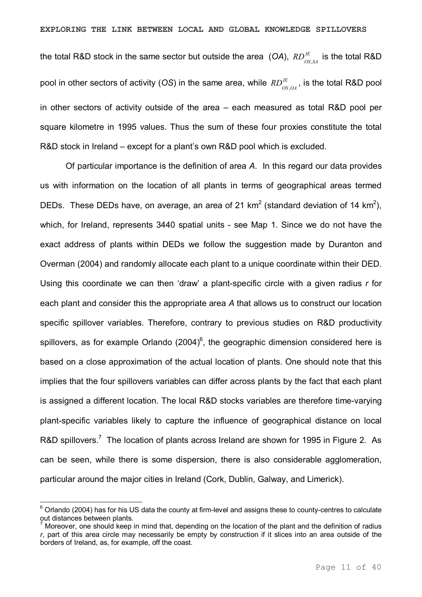the total R&D stock in the same sector but outside the area  $(OA)$ ,  $RD_{_{OS,SA}}^{^{I\!E}}$  is the total R&D pool in other sectors of activity (OS) in the same area, while  $R D_{_{OS,OA}}^{^{I\!E}}$ , is the total R&D pool in other sectors of activity outside of the area – each measured as total R&D pool per square kilometre in 1995 values. Thus the sum of these four proxies constitute the total R&D stock in Ireland – except for a plant's own R&D pool which is excluded.

Of particular importance is the definition of area *A*. In this regard our data provides us with information on the location of all plants in terms of geographical areas termed DEDs. These DEDs have, on average, an area of 21 km<sup>2</sup> (standard deviation of 14 km<sup>2</sup>), which, for Ireland, represents 3440 spatial units - see Map 1. Since we do not have the exact address of plants within DEDs we follow the suggestion made by Duranton and Overman (2004) and randomly allocate each plant to a unique coordinate within their DED. Using this coordinate we can then 'draw' a plant-specific circle with a given radius r for each plant and consider this the appropriate area *A* that allows us to construct our location specific spillover variables. Therefore, contrary to previous studies on R&D productivity spillovers, as for example Orlando  $(2004)^6$ , the geographic dimension considered here is based on a close approximation of the actual location of plants. One should note that this implies that the four spillovers variables can differ across plants by the fact that each plant is assigned a different location. The local R&D stocks variables are therefore time-varying plant-specific variables likely to capture the influence of geographical distance on local R&D spillovers.<sup>7</sup> The location of plants across Ireland are shown for 1995 in Figure 2. As can be seen, while there is some dispersion, there is also considerable agglomeration, particular around the major cities in Ireland (Cork, Dublin, Galway, and Limerick).

 $6$  Orlando (2004) has for his US data the county at firm-level and assigns these to county-centres to calculate out distances between plants.

Moreover, one should keep in mind that, depending on the location of the plant and the definition of radius *r*, part of this area circle may necessarily be empty by construction if it slices into an area outside of the borders of Ireland, as, for example, off the coast.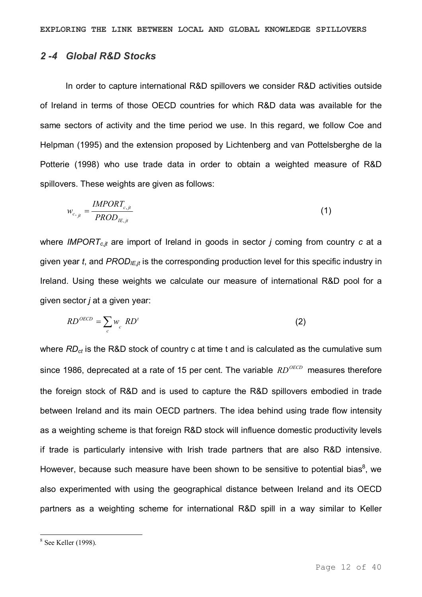#### *2 4 Global R&D Stocks*

In order to capture international R&D spillovers we consider R&D activities outside of Ireland in terms of those OECD countries for which R&D data was available for the same sectors of activity and the time period we use. In this regard, we follow Coe and Helpman (1995) and the extension proposed by Lichtenberg and van Pottelsberghe de la Potterie (1998) who use trade data in order to obtain a weighted measure of R&D spillovers. These weights are given as follows:

$$
w_{c,jt} = \frac{IMPORT_{c,jt}}{PROD_{IE,jt}}
$$
\n
$$
\tag{1}
$$

where *IMPORT<sub>c,it</sub>* are import of Ireland in goods in sector *j* coming from country *c* at a given year *t*, and *PRODIE,jt* is the corresponding production level for this specific industry in Ireland. Using these weights we calculate our measure of international R&D pool for a given sector *j* at a given year:

$$
RD^{OECD} = \sum_{c} w_{c} \, RD^{t} \tag{2}
$$

where  $RD_{ct}$  is the R&D stock of country c at time t and is calculated as the cumulative sum since 1986, deprecated at a rate of 15 per cent. The variable *RD<sup>OECD</sup>* measures therefore the foreign stock of R&D and is used to capture the R&D spillovers embodied in trade between Ireland and its main OECD partners. The idea behind using trade flow intensity as a weighting scheme is that foreign R&D stock will influence domestic productivity levels if trade is particularly intensive with Irish trade partners that are also R&D intensive. However, because such measure have been shown to be sensitive to potential bias<sup>8</sup>, we also experimented with using the geographical distance between Ireland and its OECD partners as a weighting scheme for international R&D spill in a way similar to Keller

 $8$  See Keller (1998).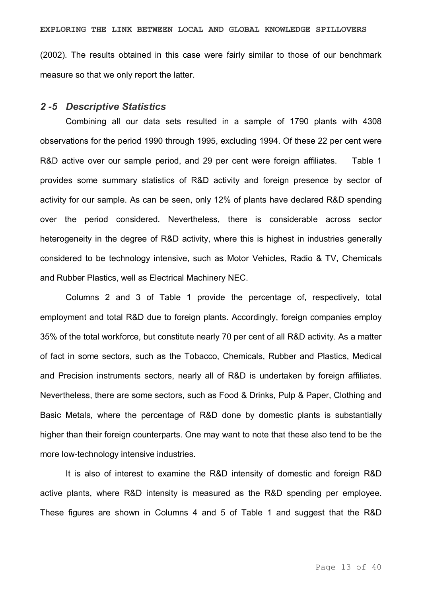(2002). The results obtained in this case were fairly similar to those of our benchmark

**EXPLORING THE LINK BETWEEN LOCAL AND GLOBAL KNOWLEDGE SPILLOVERS**

#### *2 5 Descriptive Statistics*

measure so that we only report the latter.

Combining all our data sets resulted in a sample of 1790 plants with 4308 observations for the period 1990 through 1995, excluding 1994. Of these 22 per cent were R&D active over our sample period, and 29 per cent were foreign affiliates. Table 1 provides some summary statistics of R&D activity and foreign presence by sector of activity for our sample. As can be seen, only 12% of plants have declared R&D spending over the period considered. Nevertheless, there is considerable across sector heterogeneity in the degree of R&D activity, where this is highest in industries generally considered to be technology intensive, such as Motor Vehicles, Radio & TV, Chemicals and Rubber Plastics, well as Electrical Machinery NEC.

Columns 2 and 3 of Table 1 provide the percentage of, respectively, total employment and total R&D due to foreign plants. Accordingly, foreign companies employ 35% of the total workforce, but constitute nearly 70 per cent of all R&D activity. As a matter of fact in some sectors, such as the Tobacco, Chemicals, Rubber and Plastics, Medical and Precision instruments sectors, nearly all of R&D is undertaken by foreign affiliates. Nevertheless, there are some sectors, such as Food & Drinks, Pulp & Paper, Clothing and Basic Metals, where the percentage of R&D done by domestic plants is substantially higher than their foreign counterparts. One may want to note that these also tend to be the more low-technology intensive industries.

It is also of interest to examine the R&D intensity of domestic and foreign R&D active plants, where R&D intensity is measured as the R&D spending per employee. These figures are shown in Columns 4 and 5 of Table 1 and suggest that the R&D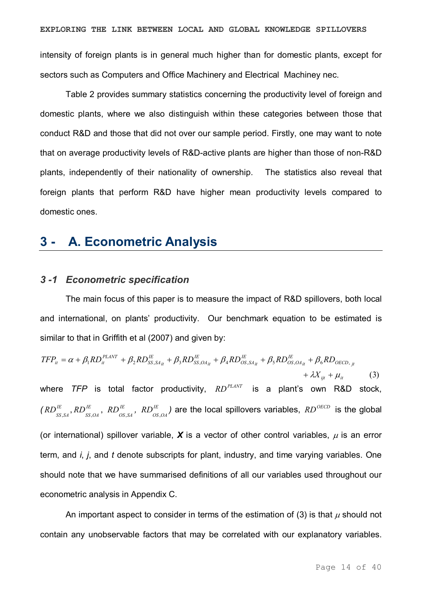intensity of foreign plants is in general much higher than for domestic plants, except for sectors such as Computers and Office Machinery and Electrical Machiney nec.

Table 2 provides summary statistics concerning the productivity level of foreign and domestic plants, where we also distinguish within these categories between those that conduct R&D and those that did not over our sample period. Firstly, one may want to note that on average productivity levels of R&D-active plants are higher than those of non-R&D plants, independently of their nationality of ownership. The statistics also reveal that foreign plants that perform R&D have higher mean productivity levels compared to domestic ones.

### **3 A. Econometric Analysis**

#### *3 1 Econometric specification*

The main focus of this paper is to measure the impact of R&D spillovers, both local and international, on plants' productivity. Our benchmark equation to be estimated is similar to that in Griffith et al (2007) and given by:

$$
TFP_{ii} = \alpha + \beta_1 RD_{ii}^{PLANT} + \beta_2 RD_{SS, S4_{ii}}^{IE} + \beta_3 RD_{SS, O4_{ii}}^{IE} + \beta_4 RD_{OS, S4_{ii}}^{IE} + \beta_5 RD_{OS, O4_{ii}}^{IE} + \beta_6 RD_{OECD, ji} + \lambda X_{ij} + \mu_{ii}
$$
 (3)  
where *TFP* is total factor productivity, *RD*<sup>PLANT</sup> is a plant's own R&D stock,  

$$
(RD_{SS, SA}^{IE}, RD_{SS, OA}^{IE}, RD_{OS, SA}^{IE}, RD_{OS, OA}^{IE})
$$
 are the local spillovers variables, *RD*<sup>OECD</sup> is the global  
(or international) spillover variable, **X** is a vector of other control variables,  $\mu$  is an error  
term, and *i*, *j*, and *t* denote subscripts for plant, industry, and time varying variables. One  
should note that we have summarised definitions of all our variables used throughout our  
economic analysis in Appendix C.

An important aspect to consider in terms of the estimation of (3) is that  $\mu$  should not contain any unobservable factors that may be correlated with our explanatory variables.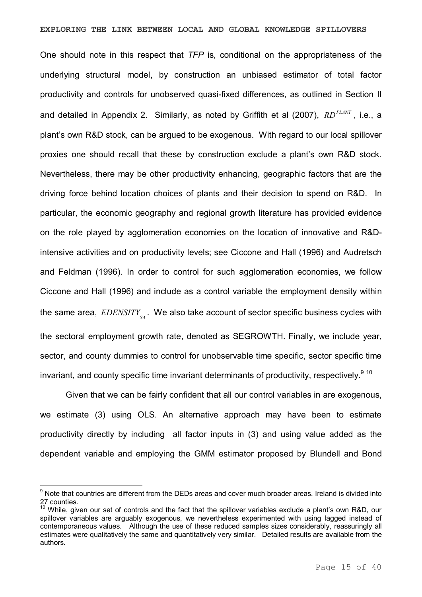#### **EXPLORING THE LINK BETWEEN LOCAL AND GLOBAL KNOWLEDGE SPILLOVERS**

One should note in this respect that *TFP* is, conditional on the appropriateness of the underlying structural model, by construction an unbiased estimator of total factor productivity and controls for unobserved quasi-fixed differences, as outlined in Section II and detailed in Appendix 2. Similarly, as noted by Griffith et al (2007), *RD<sup>PLANT</sup>*, i.e., a plant's own R&D stock, can be argued to be exogenous. With regard to our local spillover proxies one should recall that these by construction exclude a plant's own R&D stock. Nevertheless, there may be other productivity enhancing, geographic factors that are the driving force behind location choices of plants and their decision to spend on R&D. In particular, the economic geography and regional growth literature has provided evidence on the role played by agglomeration economies on the location of innovative and R&D intensive activities and on productivity levels; see Ciccone and Hall (1996) and Audretsch and Feldman (1996). In order to control for such agglomeration economies, we follow Ciccone and Hall (1996) and include as a control variable the employment density within the same area,  $\it EDENSITY_{_{S\!A}}$ . We also take account of sector specific business cycles with the sectoral employment growth rate, denoted as SEGROWTH. Finally, we include year, sector, and county dummies to control for unobservable time specific, sector specific time invariant, and county specific time invariant determinants of productivity, respectively.<sup>9 10</sup>

Given that we can be fairly confident that all our control variables in are exogenous, we estimate (3) using OLS. An alternative approach may have been to estimate productivity directly by including all factor inputs in (3) and using value added as the dependent variable and employing the GMM estimator proposed by Blundell and Bond

<sup>&</sup>lt;sup>9</sup> Note that countries are different from the DEDs areas and cover much broader areas. Ireland is divided into 27 counties.

<sup>10</sup> While, given our set of controls and the fact that the spillover variables exclude a plant's own R&D, our spillover variables are arguably exogenous, we nevertheless experimented with using lagged instead of contemporaneous values. Although the use of these reduced samples sizes considerably, reassuringly all estimates were qualitatively the same and quantitatively very similar. Detailed results are available from the authors.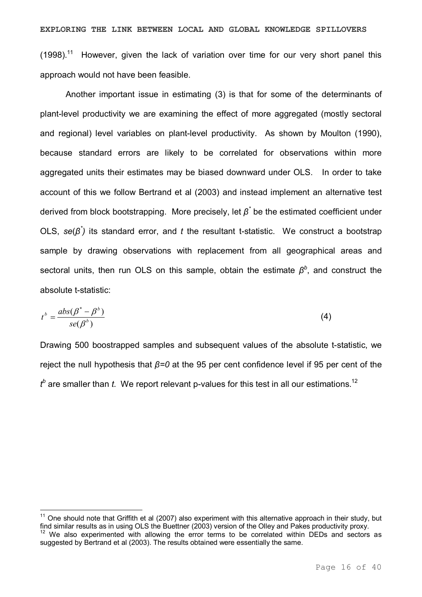**EXPLORING THE LINK BETWEEN LOCAL AND GLOBAL KNOWLEDGE SPILLOVERS**  $(1998)$ .<sup>11</sup> However, given the lack of variation over time for our very short panel this approach would not have been feasible.

Another important issue in estimating (3) is that for some of the determinants of plant-level productivity we are examining the effect of more aggregated (mostly sectoral and regional) level variables on plant-level productivity. As shown by Moulton (1990), because standard errors are likely to be correlated for observations within more aggregated units their estimates may be biased downward under OLS. In order to take account of this we follow Bertrand et al (2003) and instead implement an alternative test derived from block bootstrapping. More precisely, let *β \** be the estimated coefficient under OLS, *se*(*β \* )* its standard error, and *t* the resultant tstatistic. We construct a bootstrap sample by drawing observations with replacement from all geographical areas and sectoral units, then run OLS on this sample, obtain the estimate  $\beta^b$ , and construct the absolute t-statistic:

$$
t^{b} = \frac{abs(\beta^{*} - \beta^{b})}{se(\beta^{b})}
$$
 (4)

Drawing 500 boostrapped samples and subsequent values of the absolute t-statistic, we reject the null hypothesis that *β=0* at the 95 per cent confidence level if 95 per cent of the  $t^b$  are smaller than  $t$ . We report relevant p-values for this test in all our estimations.<sup>12</sup>

 $11$  One should note that Griffith et al (2007) also experiment with this alternative approach in their study, but find similar results as in using OLS the Buettner (2003) version of the Olley and Pakes productivity proxy.

 $12$  We also experimented with allowing the error terms to be correlated within DEDs and sectors as suggested by Bertrand et al (2003). The results obtained were essentially the same.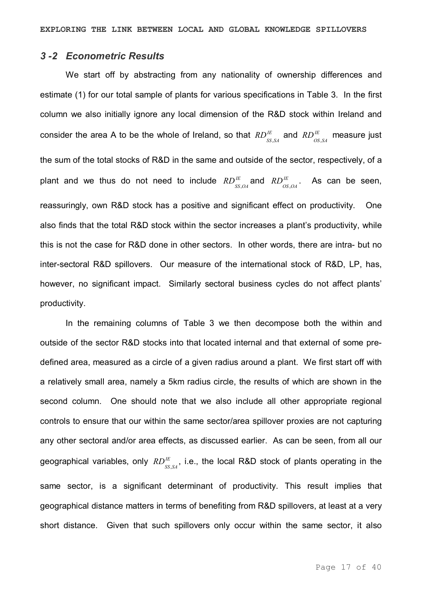#### *3 2 Econometric Results*

We start off by abstracting from any nationality of ownership differences and estimate (1) for our total sample of plants for various specifications in Table 3. In the first column we also initially ignore any local dimension of the R&D stock within Ireland and consider the area A to be the whole of Ireland, so that  $RD_{ss,sA}^E$  and  $RD_{os,sA}^E$  measure just the sum of the total stocks of R&D in the same and outside of the sector, respectively, of a plant and we thus do not need to include  $RD_{ss,OA}^E$  and  $RD_{OS,OA}^E$ . As can be seen, reassuringly, own R&D stock has a positive and significant effect on productivity. One also finds that the total R&D stock within the sector increases a plant's productivity, while this is not the case for R&D done in other sectors. In other words, there are intra- but no inter-sectoral R&D spillovers. Our measure of the international stock of R&D, LP, has, however, no significant impact. Similarly sectoral business cycles do not affect plants' productivity.

In the remaining columns of Table 3 we then decompose both the within and outside of the sector R&D stocks into that located internal and that external of some pre defined area, measured as a circle of a given radius around a plant. We first start off with a relatively small area, namely a 5km radius circle, the results of which are shown in the second column. One should note that we also include all other appropriate regional controls to ensure that our within the same sector/area spillover proxies are not capturing any other sectoral and/or area effects, as discussed earlier. As can be seen, from all our geographical variables, only  $RD^{\textit{IE}}_{_{SS,SA}}$ , i.e., the local R&D stock of plants operating in the same sector, is a significant determinant of productivity. This result implies that geographical distance matters in terms of benefiting from R&D spillovers, at least at a very short distance. Given that such spillovers only occur within the same sector, it also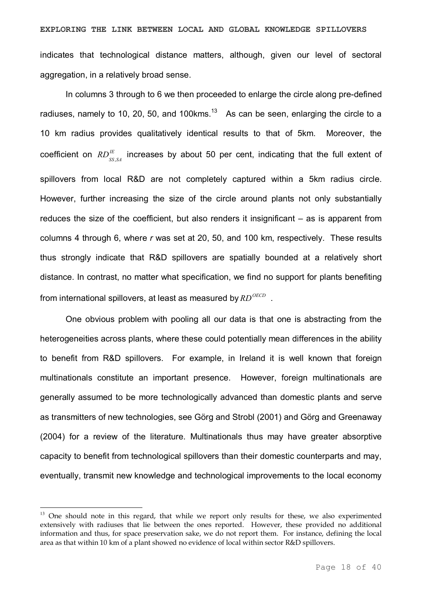In columns 3 through to 6 we then proceeded to enlarge the circle along pre-defined radiuses, namely to 10, 20, 50, and 100 kms. $13$  As can be seen, enlarging the circle to a 10 km radius provides qualitatively identical results to that of 5km. Moreover, the coefficient on  $RD_{ss,sA}^{IE}$  increases by about 50 per cent, indicating that the full extent of spillovers from local R&D are not completely captured within a 5km radius circle. However, further increasing the size of the circle around plants not only substantially reduces the size of the coefficient, but also renders it insignificant – as is apparent from columns 4 through 6, where *r* was set at 20, 50, and 100 km, respectively. These results thus strongly indicate that R&D spillovers are spatially bounded at a relatively short distance. In contrast, no matter what specification, we find no support for plants benefiting from international spillovers, at least as measured by  $RD^{OECD}$ .

One obvious problem with pooling all our data is that one is abstracting from the heterogeneities across plants, where these could potentially mean differences in the ability to benefit from R&D spillovers. For example, in Ireland it is well known that foreign multinationals constitute an important presence. However, foreign multinationals are generally assumed to be more technologically advanced than domestic plants and serve as transmitters of new technologies, see Görg and Strobl (2001) and Görg and Greenaway (2004) for a review of the literature. Multinationals thus may have greater absorptive capacity to benefit from technological spillovers than their domestic counterparts and may, eventually, transmit new knowledge and technological improvements to the local economy

<sup>&</sup>lt;sup>13</sup> One should note in this regard, that while we report only results for these, we also experimented extensively with radiuses that lie between the ones reported. However, these provided no additional information and thus, for space preservation sake, we do not report them. For instance, defining the local area as that within 10 km of a plant showed no evidence of local within sector R&D spillovers.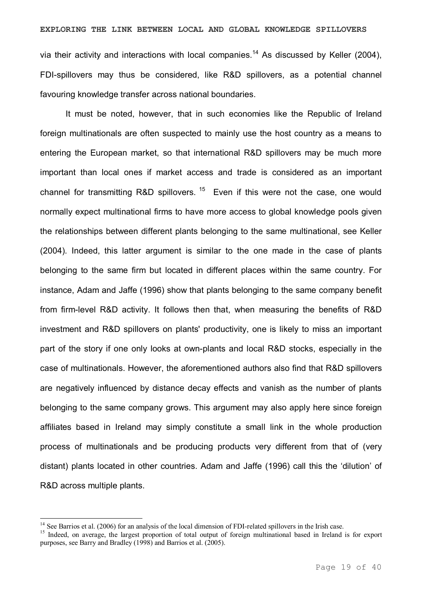via their activity and interactions with local companies.<sup>14</sup> As discussed by Keller  $(2004)$ , FDI-spillovers may thus be considered, like R&D spillovers, as a potential channel favouring knowledge transfer across national boundaries.

It must be noted, however, that in such economies like the Republic of Ireland foreign multinationals are often suspected to mainly use the host country as a means to entering the European market, so that international R&D spillovers may be much more important than local ones if market access and trade is considered as an important channel for transmitting  $R&D$  spillovers.<sup>15</sup> Even if this were not the case, one would normally expect multinational firms to have more access to global knowledge pools given the relationships between different plants belonging to the same multinational, see Keller (2004). Indeed, this latter argument is similar to the one made in the case of plants belonging to the same firm but located in different places within the same country. For instance, Adam and Jaffe (1996) show that plants belonging to the same company benefit from firmlevel R&D activity. It follows then that, when measuring the benefits of R&D investment and R&D spillovers on plants' productivity, one is likely to miss an important part of the story if one only looks at own-plants and local R&D stocks, especially in the case of multinationals. However, the aforementioned authors also find that R&D spillovers are negatively influenced by distance decay effects and vanish as the number of plants belonging to the same company grows. This argument may also apply here since foreign affiliates based in Ireland may simply constitute a small link in the whole production process of multinationals and be producing products very different from that of (very distant) plants located in other countries. Adam and Jaffe (1996) call this the 'dilution' of R&D across multiple plants.

<sup>&</sup>lt;sup>14</sup> See Barrios et al. (2006) for an analysis of the local dimension of FDI-related spillovers in the Irish case.

<sup>&</sup>lt;sup>15</sup> Indeed, on average, the largest proportion of total output of foreign multinational based in Ireland is for export purposes, see Barry and Bradley (1998) and Barrios et al. (2005).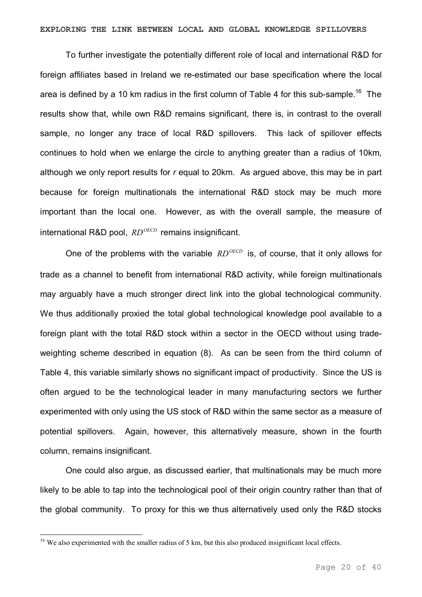To further investigate the potentially different role of local and international R&D for foreign affiliates based in Ireland we re-estimated our base specification where the local area is defined by a 10 km radius in the first column of Table 4 for this sub-sample.<sup>16</sup> The results show that, while own R&D remains significant, there is, in contrast to the overall sample, no longer any trace of local R&D spillovers. This lack of spillover effects continues to hold when we enlarge the circle to anything greater than a radius of 10km, although we only report results for *r* equal to 20km. As argued above, this may be in part because for foreign multinationals the international R&D stock may be much more important than the local one. However, as with the overall sample, the measure of international R&D pool, *RD<sup>OECD</sup>* remains insignificant.

One of the problems with the variable  $RD^{OECD}$  is, of course, that it only allows for trade as a channel to benefit from international R&D activity, while foreign multinationals may arguably have a much stronger direct link into the global technological community. We thus additionally proxied the total global technological knowledge pool available to a foreign plant with the total R&D stock within a sector in the OECD without using tradeweighting scheme described in equation (8). As can be seen from the third column of Table 4, this variable similarly shows no significant impact of productivity. Since the US is often argued to be the technological leader in many manufacturing sectors we further experimented with only using the US stock of R&D within the same sector as a measure of potential spillovers. Again, however, this alternatively measure, shown in the fourth column, remains insignificant.

One could also argue, as discussed earlier, that multinationals may be much more likely to be able to tap into the technological pool of their origin country rather than that of the global community. To proxy for this we thus alternatively used only the R&D stocks

<sup>&</sup>lt;sup>16</sup> We also experimented with the smaller radius of 5 km, but this also produced insignificant local effects.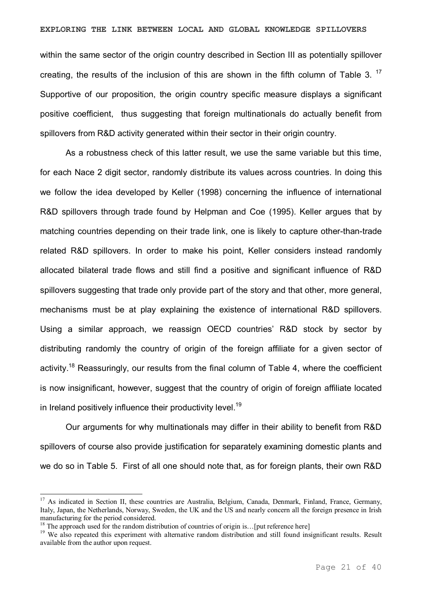#### **EXPLORING THE LINK BETWEEN LOCAL AND GLOBAL KNOWLEDGE SPILLOVERS**

within the same sector of the origin country described in Section III as potentially spillover creating, the results of the inclusion of this are shown in the fifth column of Table 3.<sup>17</sup> Supportive of our proposition, the origin country specific measure displays a significant positive coefficient, thus suggesting that foreign multinationals do actually benefit from spillovers from R&D activity generated within their sector in their origin country.

As a robustness check of this latter result, we use the same variable but this time, for each Nace 2 digit sector, randomly distribute its values across countries. In doing this we follow the idea developed by Keller (1998) concerning the influence of international R&D spillovers through trade found by Helpman and Coe (1995). Keller argues that by matching countries depending on their trade link, one is likely to capture other-than-trade related R&D spillovers. In order to make his point, Keller considers instead randomly allocated bilateral trade flows and still find a positive and significant influence of R&D spillovers suggesting that trade only provide part of the story and that other, more general, mechanisms must be at play explaining the existence of international R&D spillovers. Using a similar approach, we reassign OECD countries' R&D stock by sector by distributing randomly the country of origin of the foreign affiliate for a given sector of activity.<sup>18</sup> Reassuringly, our results from the final column of Table 4, where the coefficient is now insignificant, however, suggest that the country of origin of foreign affiliate located in Ireland positively influence their productivity level.<sup>19</sup>

Our arguments for why multinationals may differ in their ability to benefit from R&D spillovers of course also provide justification for separately examining domestic plants and we do so in Table 5. First of all one should note that, as for foreign plants, their own R&D

<sup>&</sup>lt;sup>17</sup> As indicated in Section II, these countries are Australia, Belgium, Canada, Denmark, Finland, France, Germany, Italy, Japan, the Netherlands, Norway, Sweden, the UK and the US and nearly concern all the foreign presence in Irish manufacturing for the period considered.

 $18$  The approach used for the random distribution of countries of origin is... [put reference here]

<sup>&</sup>lt;sup>19</sup> We also repeated this experiment with alternative random distribution and still found insignificant results. Result available from the author upon request.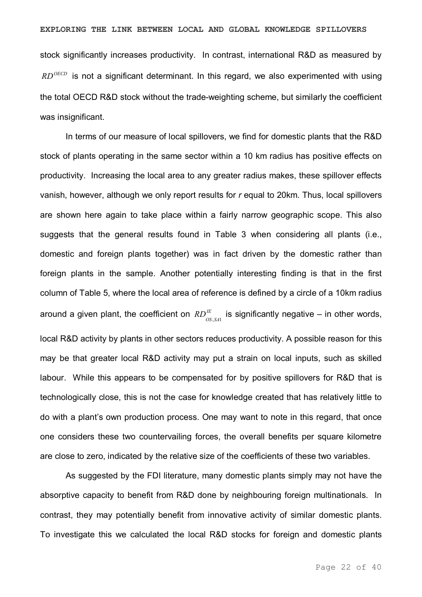stock significantly increases productivity. In contrast, international R&D as measured by *RD<sup>OECD</sup>* is not a significant determinant. In this regard, we also experimented with using the total OECD R&D stock without the trade-weighting scheme, but similarly the coefficient was insignificant.

In terms of our measure of local spillovers, we find for domestic plants that the R&D stock of plants operating in the same sector within a 10 km radius has positive effects on productivity. Increasing the local area to any greater radius makes, these spillover effects vanish, however, although we only report results for *r* equal to 20km. Thus, local spillovers are shown here again to take place within a fairly narrow geographic scope. This also suggests that the general results found in Table 3 when considering all plants (i.e., domestic and foreign plants together) was in fact driven by the domestic rather than foreign plants in the sample. Another potentially interesting finding is that in the first column of Table 5, where the local area of reference is defined by a circle of a 10km radius around a given plant, the coefficient on  $RD_{_{OS,SA1}}^{^{E}}$  is significantly negative – in other words, local R&D activity by plants in other sectors reduces productivity. A possible reason for this may be that greater local R&D activity may put a strain on local inputs, such as skilled labour. While this appears to be compensated for by positive spillovers for R&D that is technologically close, this is not the case for knowledge created that has relatively little to do with a plant's own production process. One may want to note in this regard, that once one considers these two countervailing forces, the overall benefits per square kilometre are close to zero, indicated by the relative size of the coefficients of these two variables.

As suggested by the FDI literature, many domestic plants simply may not have the absorptive capacity to benefit from R&D done by neighbouring foreign multinationals. In contrast, they may potentially benefit from innovative activity of similar domestic plants. To investigate this we calculated the local R&D stocks for foreign and domestic plants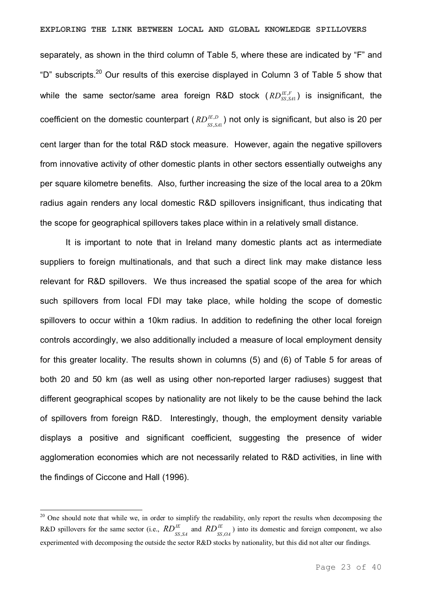#### **EXPLORING THE LINK BETWEEN LOCAL AND GLOBAL KNOWLEDGE SPILLOVERS**

separately, as shown in the third column of Table 5, where these are indicated by "F" and "D" subscripts.<sup>20</sup> Our results of this exercise displayed in Column 3 of Table 5 show that while the same sector/same area foreign R&D stock  $(RD^{IE,F}_{SS,SA}$  $\zeta_{\rm, \scriptscriptstyle{S\!A\!1}}^{\rm F}$  ) is insignificant, the coefficient on the domestic counterpart ( $RD_{SS,SA1}^{IE,D}$ ) not only is significant, but also is 20 per cent larger than for the total R&D stock measure. However, again the negative spillovers from innovative activity of other domestic plants in other sectors essentially outweighs any per square kilometre benefits. Also, further increasing the size of the local area to a 20km radius again renders any local domestic R&D spillovers insignificant, thus indicating that the scope for geographical spillovers takes place within in a relatively small distance.

It is important to note that in Ireland many domestic plants act as intermediate suppliers to foreign multinationals, and that such a direct link may make distance less relevant for R&D spillovers. We thus increased the spatial scope of the area for which such spillovers from local FDI may take place, while holding the scope of domestic spillovers to occur within a 10km radius. In addition to redefining the other local foreign controls accordingly, we also additionally included a measure of local employment density for this greater locality. The results shown in columns (5) and (6) of Table 5 for areas of both 20 and 50 km (as well as using other non-reported larger radiuses) suggest that different geographical scopes by nationality are not likely to be the cause behind the lack of spillovers from foreign R&D. Interestingly, though, the employment density variable displays a positive and significant coefficient, suggesting the presence of wider agglomeration economies which are not necessarily related to R&D activities, in line with the findings of Ciccone and Hall (1996).

<sup>&</sup>lt;sup>20</sup> One should note that while we, in order to simplify the readability, only report the results when decomposing the R&D spillovers for the same sector (i.e.,  $RD_{SS,SA}^{IE}$  and  $RD_{SS,OA}^{IE}$ ) into its domestic and foreign component, we also experimented with decomposing the outside the sector R&D stocks by nationality, but this did not alter our findings.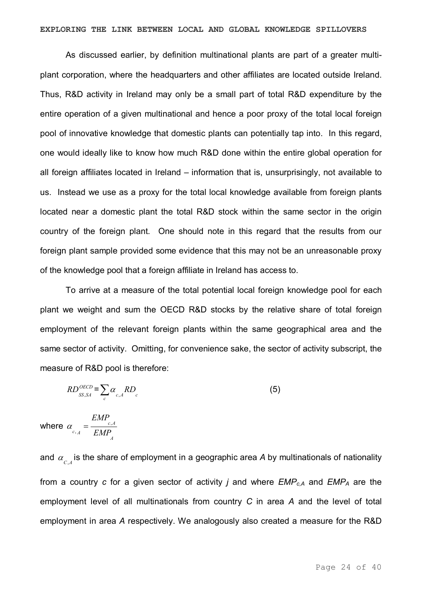As discussed earlier, by definition multinational plants are part of a greater multiplant corporation, where the headquarters and other affiliates are located outside Ireland. Thus, R&D activity in Ireland may only be a small part of total R&D expenditure by the entire operation of a given multinational and hence a poor proxy of the total local foreign pool of innovative knowledge that domestic plants can potentially tap into. In this regard, one would ideally like to know how much R&D done within the entire global operation for all foreign affiliates located in Ireland – information that is, unsurprisingly, not available to us. Instead we use as a proxy for the total local knowledge available from foreign plants located near a domestic plant the total R&D stock within the same sector in the origin country of the foreign plant. One should note in this regard that the results from our foreign plant sample provided some evidence that this may not be an unreasonable proxy of the knowledge pool that a foreign affiliate in Ireland has access to.

To arrive at a measure of the total potential local foreign knowledge pool for each plant we weight and sum the OECD R&D stocks by the relative share of total foreign employment of the relevant foreign plants within the same geographical area and the same sector of activity. Omitting, for convenience sake, the sector of activity subscript, the measure of R&D pool is therefore:

$$
RD_{SS,SA}^{OECD} = \sum_{c} \alpha_{c,A} RD_c \tag{5}
$$

where *A*   $c, A$  $^{c, A}$  *EMP EMP* ,  $\alpha_{c, A}^{\dagger} =$ 

and  $\alpha_{_{C,A}}^{}$  is the share of employment in a geographic area *A* by multinationals of nationality from a country *c* for a given sector of activity *j* and where *EMPc,A* and *EMP<sup>A</sup>* are the employment level of all multinationals from country *C* in area *A* and the level of total employment in area *A* respectively. We analogously also created a measure for the R&D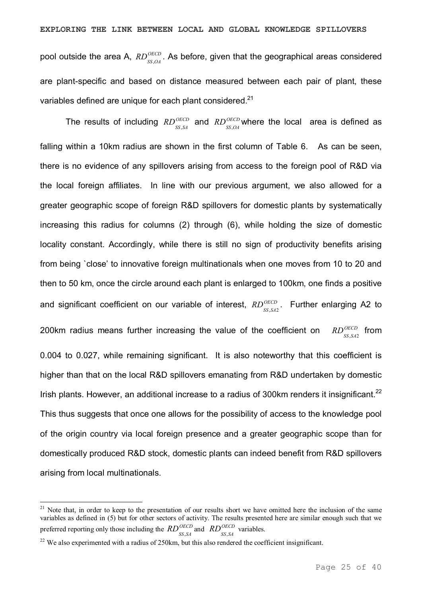pool outside the area A,  $RD_{ss,OA}^{OECD}$ . As before, given that the geographical areas considered are plant-specific and based on distance measured between each pair of plant, these variables defined are unique for each plant considered.<sup>21</sup>

The results of including  $RD_{SS,SA}^{OECD}$  and  $RD_{SS,OA}^{OECD}$  where the local area is defined as falling within a 10km radius are shown in the first column of Table 6. As can be seen, there is no evidence of any spillovers arising from access to the foreign pool of R&D via the local foreign affiliates. In line with our previous argument, we also allowed for a greater geographic scope of foreign R&D spillovers for domestic plants by systematically increasing this radius for columns (2) through (6), while holding the size of domestic locality constant. Accordingly, while there is still no sign of productivity benefits arising from being `close' to innovative foreign multinationals when one moves from 10 to 20 and then to 50 km, once the circle around each plant is enlarged to 100km, one finds a positive and significant coefficient on our variable of interest,  $RD_{ss,s42}^{OECD}$ . Further enlarging A2 to 200km radius means further increasing the value of the coefficient on  $RD_{SS,SA2}^{OECD}$  from 0.004 to 0.027, while remaining significant. It is also noteworthy that this coefficient is higher than that on the local R&D spillovers emanating from R&D undertaken by domestic Irish plants. However, an additional increase to a radius of 300km renders it insignificant.<sup>22</sup> This thus suggests that once one allows for the possibility of access to the knowledge pool of the origin country via local foreign presence and a greater geographic scope than for domestically produced R&D stock, domestic plants can indeed benefit from R&D spillovers arising from local multinationals.

 $21$  Note that, in order to keep to the presentation of our results short we have omitted here the inclusion of the same variables as defined in (5) but for other sectors of activity. The results presented here are similar enough such that we preferred reporting only those including the  $RD_{SS,SA}^{OECD}$  and  $RD_{SS,SA}^{OECD}$  variables.

<sup>&</sup>lt;sup>22</sup> We also experimented with a radius of 250km, but this also rendered the coefficient insignificant.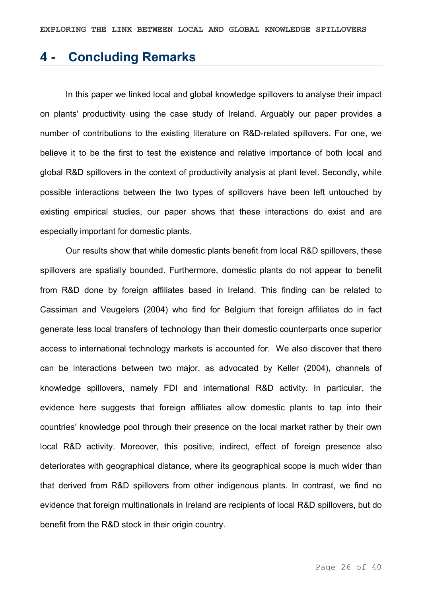### **4 Concluding Remarks**

In this paper we linked local and global knowledge spillovers to analyse their impact on plants' productivity using the case study of Ireland. Arguably our paper provides a number of contributions to the existing literature on R&D-related spillovers. For one, we believe it to be the first to test the existence and relative importance of both local and global R&D spillovers in the context of productivity analysis at plant level. Secondly, while possible interactions between the two types of spillovers have been left untouched by existing empirical studies, our paper shows that these interactions do exist and are especially important for domestic plants.

Our results show that while domestic plants benefit from local R&D spillovers, these spillovers are spatially bounded. Furthermore, domestic plants do not appear to benefit from R&D done by foreign affiliates based in Ireland. This finding can be related to Cassiman and Veugelers (2004) who find for Belgium that foreign affiliates do in fact generate less local transfers of technology than their domestic counterparts once superior access to international technology markets is accounted for. We also discover that there can be interactions between two major, as advocated by Keller (2004), channels of knowledge spillovers, namely FDI and international R&D activity. In particular, the evidence here suggests that foreign affiliates allow domestic plants to tap into their countries' knowledge pool through their presence on the local market rather by their own local R&D activity. Moreover, this positive, indirect, effect of foreign presence also deteriorates with geographical distance, where its geographical scope is much wider than that derived from R&D spillovers from other indigenous plants. In contrast, we find no evidence that foreign multinationals in Ireland are recipients of local R&D spillovers, but do benefit from the R&D stock in their origin country.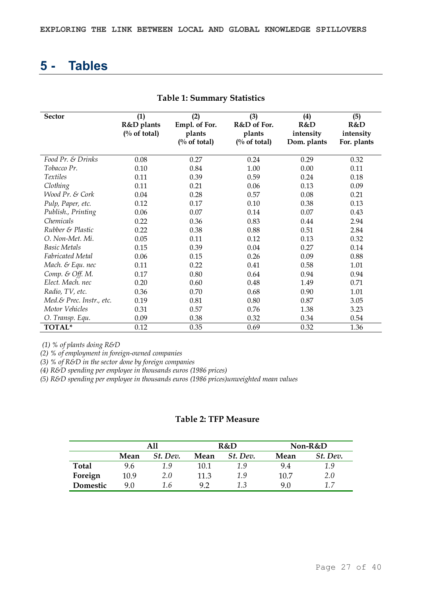### **5 Tables**

| <b>Sector</b>            | (1)<br>R&D plants<br>$\frac{0}{0}$ of total) | (2)<br>Empl. of For.<br>plants<br>$\frac{0}{0}$ of total) | (3)<br>R&D of For.<br>plants<br>$\frac{0}{0}$ of total) | (4)<br>R&D<br>intensity<br>Dom. plants | (5)<br>R&D<br>intensity<br>For. plants |
|--------------------------|----------------------------------------------|-----------------------------------------------------------|---------------------------------------------------------|----------------------------------------|----------------------------------------|
| Food Pr. & Drinks        | 0.08                                         | 0.27                                                      | 0.24                                                    | 0.29                                   | 0.32                                   |
| Tobacco Pr.              | 0.10                                         | 0.84                                                      | 1.00                                                    | 0.00                                   | 0.11                                   |
| <i>Textiles</i>          | 0.11                                         | 0.39                                                      | 0.59                                                    | 0.24                                   | 0.18                                   |
| Clothing                 | 0.11                                         | 0.21                                                      | 0.06                                                    | 0.13                                   | 0.09                                   |
| Wood Pr. & Cork          | 0.04                                         | 0.28                                                      | 0.57                                                    | 0.08                                   | 0.21                                   |
| Pulp, Paper, etc.        | 0.12                                         | 0.17                                                      | 0.10                                                    | 0.38                                   | 0.13                                   |
| Publish., Printing       | 0.06                                         | 0.07                                                      | 0.14                                                    | 0.07                                   | 0.43                                   |
| Chemicals                | 0.22                                         | 0.36                                                      | 0.83                                                    | 0.44                                   | 2.94                                   |
| Rubber & Plastic         | 0.22                                         | 0.38                                                      | 0.88                                                    | 0.51                                   | 2.84                                   |
| O. Non-Met. Mi.          | 0.05                                         | 0.11                                                      | 0.12                                                    | 0.13                                   | 0.32                                   |
| <b>Basic Metals</b>      | 0.15                                         | 0.39                                                      | 0.04                                                    | 0.27                                   | 0.14                                   |
| <b>Fabricated Metal</b>  | 0.06                                         | 0.15                                                      | 0.26                                                    | 0.09                                   | 0.88                                   |
| Mach. & Equ. nec         | 0.11                                         | 0.22                                                      | 0.41                                                    | 0.58                                   | 1.01                                   |
| Comp. & Off. M.          | 0.17                                         | 0.80                                                      | 0.64                                                    | 0.94                                   | 0.94                                   |
| Elect. Mach. nec         | 0.20                                         | 0.60                                                      | 0.48                                                    | 1.49                                   | 0.71                                   |
| Radio, TV, etc.          | 0.36                                         | 0.70                                                      | 0.68                                                    | 0.90                                   | 1.01                                   |
| Med.& Prec. Instr., etc. | 0.19                                         | 0.81                                                      | 0.80                                                    | 0.87                                   | 3.05                                   |
| Motor Vehicles           | 0.31                                         | 0.57                                                      | 0.76                                                    | 1.38                                   | 3.23                                   |
| O. Transp. Equ.          | 0.09                                         | 0.38                                                      | 0.32                                                    | 0.34                                   | 0.54                                   |
| TOTAL*                   | 0.12                                         | 0.35                                                      | 0.69                                                    | 0.32                                   | 1.36                                   |

#### **Table 1: Summary Statistics**

*(1) % of plants doing R&D* 

*(2) % of employment in foreign-owned companies* 

*(3) % of R&D in the sector done by foreign companies* 

*(4) R&D spending per employee in thousands euros (1986 prices)* 

*(5) R&D spending per employee in thousands euros (1986 prices)unweighted mean values*

#### **Table 2: TFP Measure**

|          |      | A11      |      | R&D      | Non-R&D |          |  |
|----------|------|----------|------|----------|---------|----------|--|
|          | Mean | St. Dev. | Mean | St. Dev. | Mean    | St. Dev. |  |
| Total    | 9.6  | 1.9      | 10.1 | 1.9      | 9.4     | 1.9      |  |
| Foreign  | 10.9 | 2.0      | 11.3 | 1.9      | 10.7    | 2.0      |  |
| Domestic | 9.0  | 1.6      | 9.2  | 1.3      | 9.0     | 17       |  |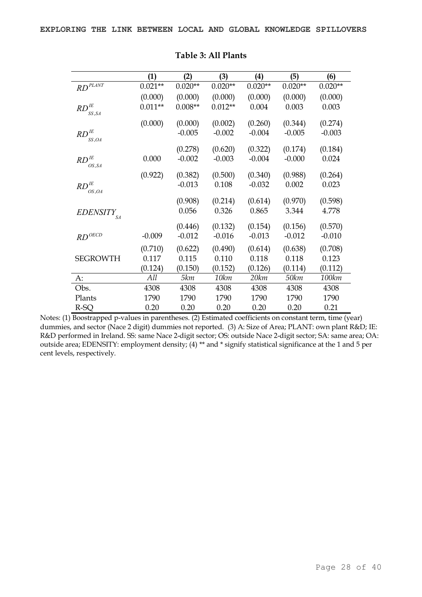|                                                                                | $\bf(1)$  | (2)       | (3)       | $\left( 4\right)$ | (5)       | (6)       |
|--------------------------------------------------------------------------------|-----------|-----------|-----------|-------------------|-----------|-----------|
| $RD$ <sup>PLANT</sup>                                                          | $0.021**$ | $0.020**$ | $0.020**$ | $0.020**$         | $0.020**$ | $0.020**$ |
|                                                                                | (0.000)   | (0.000)   | (0.000)   | (0.000)           | (0.000)   | (0.000)   |
| $\mathbb{R} D^{\mathit{IE}}$<br>SS, SA                                         | $0.011**$ | $0.008**$ | $0.012**$ | 0.004             | 0.003     | 0.003     |
|                                                                                | (0.000)   | (0.000)   | (0.002)   | (0.260)           | (0.344)   | (0.274)   |
| $\ensuremath{\mathbb{R}}\xspace D^{\ensuremath{\mathbb{I}}\xspace E}$<br>SS,OA |           | $-0.005$  | $-0.002$  | $-0.004$          | $-0.005$  | $-0.003$  |
|                                                                                |           | (0.278)   | (0.620)   | (0.322)           | (0.174)   | (0.184)   |
| $RD$ <sup>IE</sup><br>OS, SA                                                   | 0.000     | $-0.002$  | $-0.003$  | $-0.004$          | $-0.000$  | 0.024     |
|                                                                                | (0.922)   | (0.382)   | (0.500)   | (0.340)           | (0.988)   | (0.264)   |
| $\mathbb{R} D^{\mathit{IE}}$<br>OS,OA                                          |           | $-0.013$  | 0.108     | $-0.032$          | 0.002     | 0.023     |
|                                                                                |           | (0.908)   | (0.214)   | (0.614)           | (0.970)   | (0.598)   |
| <b>EDENSITY</b><br>SA                                                          |           | 0.056     | 0.326     | 0.865             | 3.344     | 4.778     |
|                                                                                |           | (0.446)   | (0.132)   | (0.154)           | (0.156)   | (0.570)   |
| $RD^{OECD}$                                                                    | $-0.009$  | $-0.012$  | $-0.016$  | $-0.013$          | $-0.012$  | $-0.010$  |
|                                                                                | (0.710)   | (0.622)   | (0.490)   | (0.614)           | (0.638)   | (0.708)   |
| <b>SEGROWTH</b>                                                                | 0.117     | 0.115     | 0.110     | 0.118             | 0.118     | 0.123     |
|                                                                                | (0.124)   | (0.150)   | (0.152)   | (0.126)           | (0.114)   | (0.112)   |
| A:                                                                             | All       | 5km       | 10km      | 20 km             | 50km      | 100km     |
| Obs.                                                                           | 4308      | 4308      | 4308      | 4308              | 4308      | 4308      |
| Plants                                                                         | 1790      | 1790      | 1790      | 1790              | 1790      | 1790      |
| R-SQ                                                                           | 0.20      | 0.20      | 0.20      | 0.20              | 0.20      | 0.21      |

#### **Table 3: All Plants**

Notes: (1) Boostrapped p-values in parentheses. (2) Estimated coefficients on constant term, time (year) dummies, and sector (Nace 2 digit) dummies not reported. (3) A: Size of Area; PLANT: own plant R&D; IE: R&D performed in Ireland. SS: same Nace 2-digit sector; OS: outside Nace 2-digit sector; SA: same area; OA: outside area; EDENSITY: employment density; (4) \*\* and \* signify statistical significance at the 1 and 5 per cent levels, respectively.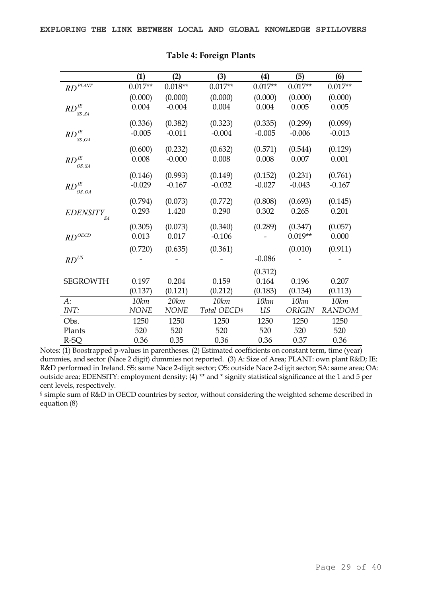|                                                                       | (1)         | (2)         | (3)                     | (4)       | (5)       | (6)           |
|-----------------------------------------------------------------------|-------------|-------------|-------------------------|-----------|-----------|---------------|
| $RD$ <sup>PLANT</sup>                                                 | $0.017**$   | $0.018**$   | $0.017**$               | $0.017**$ | $0.017**$ | $0.017**$     |
|                                                                       | (0.000)     | (0.000)     | (0.000)                 | (0.000)   | (0.000)   | (0.000)       |
| $RD$ <sup>IE</sup>                                                    | 0.004       | $-0.004$    | 0.004                   | 0.004     | 0.005     | 0.005         |
| SS,SA                                                                 |             |             |                         |           |           |               |
|                                                                       | (0.336)     | (0.382)     | (0.323)                 | (0.335)   | (0.299)   | (0.099)       |
| $\mathbb{R} D^{\mathit{IE}}$<br>SS,OA                                 | $-0.005$    | $-0.011$    | $-0.004$                | $-0.005$  | $-0.006$  | $-0.013$      |
|                                                                       | (0.600)     | (0.232)     | (0.632)                 | (0.571)   | (0.544)   | (0.129)       |
| $\ensuremath{\mathbb{R}}\xspace D^{\ensuremath{\mathbb{I}}\xspace E}$ | 0.008       | $-0.000$    | 0.008                   | 0.008     | 0.007     | 0.001         |
| OS, SA                                                                |             |             |                         |           |           |               |
|                                                                       | (0.146)     | (0.993)     | (0.149)                 | (0.152)   | (0.231)   | (0.761)       |
| $\mathbb{R} D^{\mathit{IE}}$<br>OS,OA                                 | $-0.029$    | $-0.167$    | $-0.032$                | $-0.027$  | $-0.043$  | $-0.167$      |
|                                                                       | (0.794)     | (0.073)     | (0.772)                 | (0.808)   | (0.693)   | (0.145)       |
| <b>EDENSITY</b>                                                       | 0.293       | 1.420       | 0.290                   | 0.302     | 0.265     | 0.201         |
| SA                                                                    |             |             |                         |           |           |               |
|                                                                       | (0.305)     | (0.073)     | (0.340)                 | (0.289)   | (0.347)   | (0.057)       |
| $RD^{OECD}$                                                           | 0.013       | 0.017       | $-0.106$                |           | $0.019**$ | 0.000         |
|                                                                       | (0.720)     | (0.635)     | (0.361)                 |           | (0.010)   | (0.911)       |
| $\mathit{RD}^{\mathit{US}}$                                           |             |             |                         | $-0.086$  |           |               |
|                                                                       |             |             |                         | (0.312)   |           |               |
| <b>SEGROWTH</b>                                                       | 0.197       | 0.204       | 0.159                   | 0.164     | 0.196     | 0.207         |
|                                                                       | (0.137)     | (0.121)     | (0.212)                 | (0.183)   | (0.134)   | (0.113)       |
| $A$ :                                                                 | 10km        | 20 km       | 10km                    | 10 km     | 10km      | 10 km         |
| INT:                                                                  | <b>NONE</b> | <b>NONE</b> | Total OECD <sup>§</sup> | <b>US</b> | ORIGIN    | <b>RANDOM</b> |
| Obs.                                                                  | 1250        | 1250        | 1250                    | 1250      | 1250      | 1250          |
| Plants                                                                | 520         | 520         | 520                     | 520       | 520       | 520           |
| R-SQ                                                                  | 0.36        | 0.35        | 0.36                    | 0.36      | 0.37      | 0.36          |

#### **Table 4: Foreign Plants**

Notes: (1) Boostrapped p-values in parentheses. (2) Estimated coefficients on constant term, time (year) dummies, and sector (Nace 2 digit) dummies not reported. (3) A: Size of Area; PLANT: own plant R&D; IE: R&D performed in Ireland. SS: same Nace 2-digit sector; OS: outside Nace 2-digit sector; SA: same area; OA: outside area; EDENSITY: employment density; (4) \*\* and \* signify statistical significance at the 1 and 5 per cent levels, respectively.

§ simple sum of R&D in OECD countries by sector, without considering the weighted scheme described in equation (8)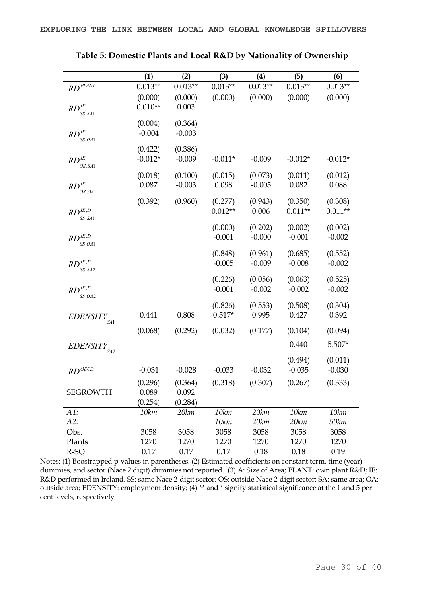|                                                                                       | (1)             | (2)              | (3)                 | (4)              | (5)              | (6)              |
|---------------------------------------------------------------------------------------|-----------------|------------------|---------------------|------------------|------------------|------------------|
| $RD$ <sup>PLANT</sup>                                                                 | $0.013**$       | $0.013**$        | $0.013**$           | $0.013**$        | $0.013**$        | $0.013**$        |
|                                                                                       | (0.000)         | (0.000)          | (0.000)             | (0.000)          | (0.000)          | (0.000)          |
| $RD$ <sup>IE</sup>                                                                    | $0.010**$       | 0.003            |                     |                  |                  |                  |
| SS, SA1                                                                               |                 |                  |                     |                  |                  |                  |
|                                                                                       | (0.004)         | (0.364)          |                     |                  |                  |                  |
| $RD$ <sup>IE</sup><br>SS, OA1                                                         | $-0.004$        | $-0.003$         |                     |                  |                  |                  |
|                                                                                       | (0.422)         | (0.386)          |                     |                  |                  |                  |
| $\ensuremath{\mathit{RD}}^{\ensuremath{\mathit{IE}}}$                                 | $-0.012*$       | $-0.009$         | $-0.011*$           | $-0.009$         | $-0.012*$        | $-0.012*$        |
| OS, SA1                                                                               | (0.018)         | (0.100)          | (0.015)             | (0.073)          | (0.011)          | (0.012)          |
| $\ensuremath{\mathbb{R}}\xspace D^{\ensuremath{\mathbb{I}}\xspace E}$                 | 0.087           | $-0.003$         | 0.098               | $-0.005$         | 0.082            | 0.088            |
| OS,OA1                                                                                |                 |                  |                     |                  |                  |                  |
|                                                                                       | (0.392)         | (0.960)          | (0.277)             | (0.943)          | (0.350)          | (0.308)          |
| $RD^{I E, D}$<br>SS, SA1                                                              |                 |                  | $0.012**$           | 0.006            | $0.011**$        | $0.011**$        |
|                                                                                       |                 |                  | (0.000)             | (0.202)          | (0.002)          | (0.002)          |
| $RD^{I E, D}$                                                                         |                 |                  | $-0.001$            | $-0.000$         | $-0.001$         | $-0.002$         |
| SS,OA1                                                                                |                 |                  |                     |                  |                  |                  |
|                                                                                       |                 |                  | (0.848)             | (0.961)          | (0.685)          | (0.552)          |
| $\mathit{RD}^{\mathit{IE},\mathit{F}}$<br>SS, SA2                                     |                 |                  | $-0.005$            | $-0.009$         | $-0.008$         | $-0.002$         |
|                                                                                       |                 |                  | (0.226)             | (0.056)          | (0.063)          | (0.525)          |
| $\ensuremath{\mathbb{R}\text{D}}^{\ensuremath{\mathbb{I} E},\ensuremath{\mathbb{F}}}$ |                 |                  | $-0.001$            | $-0.002$         | $-0.002$         | $-0.002$         |
| SS, OA2                                                                               |                 |                  |                     |                  |                  |                  |
|                                                                                       | 0.441           | 0.808            | (0.826)<br>$0.517*$ | (0.553)<br>0.995 | (0.508)<br>0.427 | (0.304)<br>0.392 |
| <b>EDENSITY</b><br>SA1                                                                |                 |                  |                     |                  |                  |                  |
|                                                                                       | (0.068)         | (0.292)          | (0.032)             | (0.177)          | (0.104)          | (0.094)          |
| <b>EDENSITY</b>                                                                       |                 |                  |                     |                  | 0.440            | 5.507*           |
| SA2                                                                                   |                 |                  |                     |                  |                  |                  |
|                                                                                       |                 |                  |                     |                  | (0.494)          | (0.011)          |
| $RD^{OECD}$                                                                           | $-0.031$        | $-0.028$         | $-0.033$            | $-0.032$         | $-0.035$         | $-0.030$         |
|                                                                                       | (0.296)         | (0.364)          | (0.318)             | (0.307)          | (0.267)          | (0.333)          |
| <b>SEGROWTH</b>                                                                       | 0.089           | 0.092            |                     |                  |                  |                  |
| $A1$ :                                                                                | (0.254)<br>10km | (0.284)<br>20 km | 10km                | 20 km            | 10km             | 10 km            |
| A2:                                                                                   |                 |                  | 10km                | 20 km            | 20 km            | 50km             |
| Obs.                                                                                  | 3058            | 3058             | 3058                | 3058             | 3058             | 3058             |
| Plants                                                                                | 1270            | 1270             | 1270                | 1270             | 1270             | 1270             |
| R-SQ                                                                                  | 0.17            | 0.17             | 0.17                | 0.18             | $0.18\,$         | 0.19             |

**Table 5: Domestic Plants and Local R&D by Nationality of Ownership** 

Notes:  $\overline{(1)}$  Boostrapped p-values in parentheses. (2) Estimated coefficients on constant term, time (year) dummies, and sector (Nace 2 digit) dummies not reported. (3) A: Size of Area; PLANT: own plant R&D; IE: R&D performed in Ireland. SS: same Nace 2-digit sector; OS: outside Nace 2-digit sector; SA: same area; OA: outside area; EDENSITY: employment density; (4) \*\* and \* signify statistical significance at the 1 and 5 per cent levels, respectively.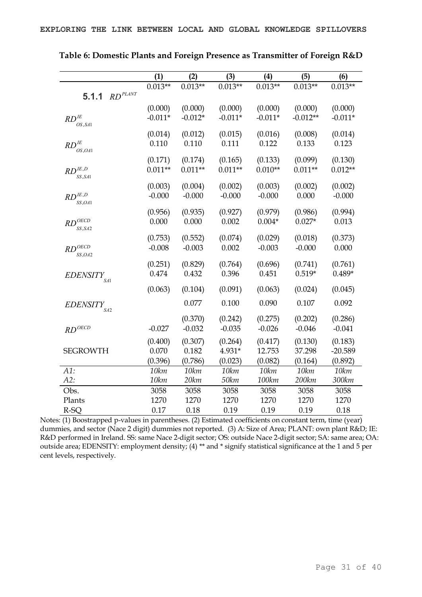|                                | (1)       | (2)       | (3)       | (4)       | (5)        | (6)       |
|--------------------------------|-----------|-----------|-----------|-----------|------------|-----------|
|                                | $0.013**$ | $0.013**$ | $0.013**$ | $0.013**$ | $0.013**$  | $0.013**$ |
| $RD$ <sup>PLANT</sup><br>5.1.1 |           |           |           |           |            |           |
|                                | (0.000)   | (0.000)   | (0.000)   | (0.000)   | (0.000)    | (0.000)   |
| $RD$ <sup>IE</sup>             | $-0.011*$ | $-0.012*$ | $-0.011*$ | $-0.011*$ | $-0.012**$ | $-0.011*$ |
| OS, SA1                        |           |           |           |           |            |           |
|                                | (0.014)   | (0.012)   | (0.015)   | (0.016)   | (0.008)    | (0.014)   |
| $RD$ <sup>IE</sup>             | 0.110     | 0.110     | 0.111     | 0.122     | 0.133      | 0.123     |
| OS, OA1                        |           |           |           |           |            |           |
|                                | (0.171)   | (0.174)   | (0.165)   | (0.133)   | (0.099)    | (0.130)   |
| $RD^{I E, D}$<br>SS, SA1       | $0.011**$ | $0.011**$ | $0.011**$ | $0.010**$ | $0.011**$  | $0.012**$ |
|                                | (0.003)   | (0.004)   | (0.002)   | (0.003)   | (0.002)    | (0.002)   |
| $RD^{I E, D}$                  | $-0.000$  | $-0.000$  | $-0.000$  | $-0.000$  | 0.000      | $-0.000$  |
| SS,OA1                         |           |           |           |           |            |           |
|                                | (0.956)   | (0.935)   | (0.927)   | (0.979)   | (0.986)    | (0.994)   |
| $RD^{OECD}$<br>SS, SA2         | 0.000     | 0.000     | 0.002     | $0.004*$  | $0.027*$   | 0.013     |
|                                | (0.753)   | (0.552)   | (0.074)   | (0.029)   | (0.018)    | (0.373)   |
| $RD^{OECD}$                    | $-0.008$  | $-0.003$  | 0.002     | $-0.003$  | $-0.000$   | 0.000     |
| SS, OA2                        |           |           |           |           |            |           |
|                                | (0.251)   | (0.829)   | (0.764)   | (0.696)   | (0.741)    | (0.761)   |
| EDENSITY <sub>SAL</sub>        | 0.474     | 0.432     | 0.396     | 0.451     | $0.519*$   | $0.489*$  |
|                                |           |           |           |           |            |           |
|                                | (0.063)   | (0.104)   | (0.091)   | (0.063)   | (0.024)    | (0.045)   |
| <b>EDENSITY</b>                |           | 0.077     | 0.100     | 0.090     | 0.107      | 0.092     |
| SA2                            |           | (0.370)   | (0.242)   | (0.275)   | (0.202)    | (0.286)   |
| $RD$ <sup>OECD</sup>           | $-0.027$  | $-0.032$  | $-0.035$  | $-0.026$  | $-0.046$   | $-0.041$  |
|                                |           |           |           |           |            |           |
|                                | (0.400)   | (0.307)   | (0.264)   | (0.417)   | (0.130)    | (0.183)   |
| <b>SEGROWTH</b>                | 0.070     | 0.182     | 4.931*    | 12.753    | 37.298     | $-20.589$ |
|                                | (0.396)   | (0.786)   | (0.023)   | (0.082)   | (0.164)    | (0.892)   |
| A1:                            | 10km      | 10km      | 10km      | 10km      | 10km       | 10km      |
| A2:                            | 10km      | 20 km     | 50 km     | 100km     | 200 km     | 300km     |
| Obs.                           | 3058      | 3058      | 3058      | 3058      | 3058       | 3058      |
| Plants                         | 1270      | 1270      | 1270      | 1270      | 1270       | 1270      |
| R-SQ                           | 0.17      | 0.18      | 0.19      | 0.19      | 0.19       | 0.18      |

**Table 6: Domestic Plants and Foreign Presence as Transmitter of Foreign R&D** 

Notes: (1) Boostrapped p-values in parentheses. (2) Estimated coefficients on constant term, time (year) dummies, and sector (Nace 2 digit) dummies not reported. (3) A: Size of Area; PLANT: own plant R&D; IE: R&D performed in Ireland. SS: same Nace 2-digit sector; OS: outside Nace 2-digit sector; SA: same area; OA: outside area; EDENSITY: employment density; (4) \*\* and \* signify statistical significance at the 1 and 5 per cent levels, respectively.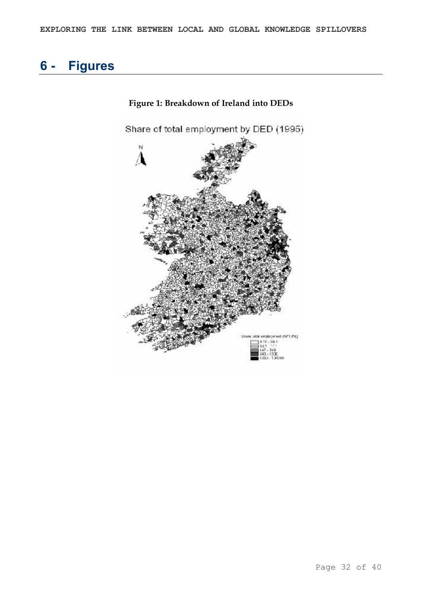# **6 Figures**



**Figure 1: Breakdown of Ireland into DEDs**

Page 32 of 40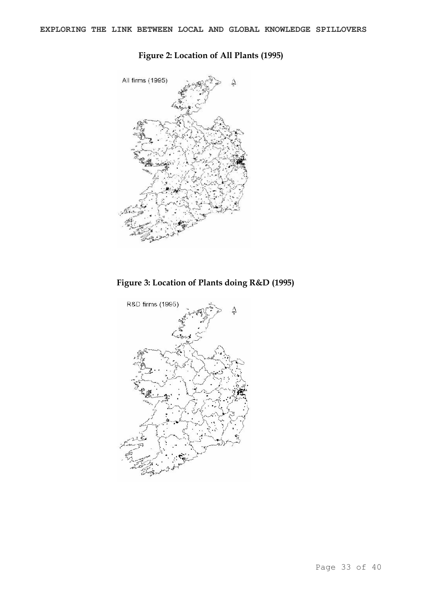

### **Figure 2: Location of All Plants (1995)**

**Figure 3: Location of Plants doing R&D (1995)**

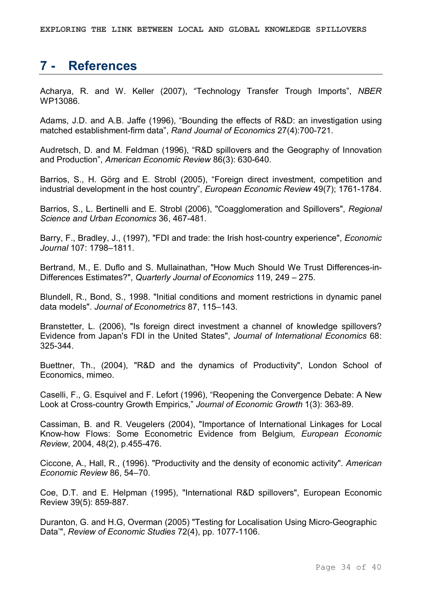# **7 References**

Acharya, R. and W. Keller (2007), "Technology Transfer Trough Imports", *NBER* WP13086.

Adams, J.D. and A.B. Jaffe (1996), "Bounding the effects of R&D: an investigation using matched establishment-firm data", Rand Journal of Economics 27(4):700-721.

Audretsch, D. and M. Feldman (1996), "R&D spillovers and the Geography of Innovation and Production", American Economic Review 86(3): 630-640.

Barrios, S., H. Görg and E. Strobl (2005), "Foreign direct investment, competition and industrial development in the host country", *European Economic Review* 49(7); 1761-1784.

Barrios, S., L. Bertinelli and E. Strobl (2006), "Coagglomeration and Spillovers", *Regional*  **Science and Urban Economics 36, 467-481.** 

Barry, F., Bradley, J., (1997), "FDI and trade: the Irish host-country experience", *Economic Journal* 107: 1798–1811.

Bertrand, M., E. Duflo and S. Mullainathan, "How Much Should We Trust Differences-in-Differences Estimates?", *Quarterly Journal of Economics* 119, 249 – 275.

Blundell, R., Bond, S., 1998. "Initial conditions and moment restrictions in dynamic panel data models". *Journal of Econometrics* 87, 115–143.

Branstetter, L. (2006), "Is foreign direct investment a channel of knowledge spillovers? Evidence from Japan's FDI in the United States", *Journal of International Economics* 68: 325344.

Buettner, Th., (2004), "R&D and the dynamics of Productivity", London School of Economics, mimeo.

Caselli, F., G. Esquivel and F. Lefort (1996), "Reopening the Convergence Debate: A New Look at Cross-country Growth Empirics," Journal of Economic Growth 1(3): 363-89.

Cassiman, B. and R. Veugelers (2004), "Importance of International Linkages for Local Knowhow Flows: Some Econometric Evidence from Belgium, *European Economic Review, 2004, 48(2), p.455-476.* 

Ciccone, A., Hall, R., (1996). "Productivity and the density of economic activity". *American Economic Review* 86, 54–70.

Coe, D.T. and E. Helpman (1995), "International R&D spillovers", European Economic Review 39(5): 859-887.

Duranton, G. and H.G, Overman (2005) "Testing for Localisation Using Micro-Geographic Data'", *Review of Economic Studies* 72(4), pp. 1077-1106.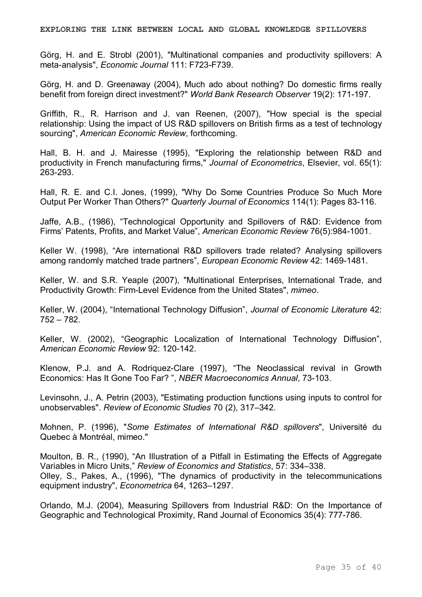**EXPLORING THE LINK BETWEEN LOCAL AND GLOBAL KNOWLEDGE SPILLOVERS**

Görg, H. and E. Strobl (2001), "Multinational companies and productivity spillovers: A meta-analysis", *Economic Journal* 111: F723-F739.

Görg, H. and D. Greenaway (2004), Much ado about nothing? Do domestic firms really benefit from foreign direct investment?" World Bank Research Observer 19(2): 171-197.

Griffith, R., R. Harrison and J. van Reenen, (2007), "How special is the special relationship: Using the impact of US R&D spillovers on British firms as a test of technology sourcing", *American Economic Review*, forthcoming.

Hall, B. H. and J. Mairesse (1995), "Exploring the relationship between R&D and productivity in French manufacturing firms," *Journal of Econometrics*, Elsevier, vol. 65(1): 263-293.

Hall, R. E. and C.I. Jones, (1999), "Why Do Some Countries Produce So Much More Output Per Worker Than Others?" Quarterly Journal of Economics 114(1): Pages 83-116.

Jaffe, A.B., (1986), "Technological Opportunity and Spillovers of R&D: Evidence from Firms' Patents, Profits, and Market Value", American Economic Review 76(5):984-1001.

Keller W. (1998), "Are international R&D spillovers trade related? Analysing spillovers among randomly matched trade partners", *European Economic Review* 42: 1469-1481.

Keller, W. and S.R. Yeaple (2007), "Multinational Enterprises, International Trade, and Productivity Growth: FirmLevel Evidence from the United States", *mimeo*.

Keller, W. (2004), "International Technology Diffusion", *Journal of Economic Literature* 42: 752 – 782.

Keller, W. (2002), "Geographic Localization of International Technology Diffusion", *American Economic Review* 92: 120-142.

Klenow, P.J. and A. Rodriquez-Clare (1997), "The Neoclassical revival in Growth Economics: Has It Gone Too Far? ", NBER Macroeconomics Annual, 73-103.

Levinsohn, J., A. Petrin (2003), "Estimating production functions using inputs to control for unobservables". *Review of Economic Studies* 70 (2), 317–342.

Mohnen, P. (1996), "*Some Estimates of International R&D spillovers*", Université du Quebec à Montréal, mimeo."

Moulton, B. R., (1990), "An Illustration of a Pitfall in Estimating the Effects of Aggregate Variables in Micro Units," *Review of Economics and Statistics*, 57: 334–338. Olley, S., Pakes, A., (1996), "The dynamics of productivity in the telecommunications equipment industry", *Econometrica* 64, 1263–1297.

Orlando, M.J. (2004), Measuring Spillovers from Industrial R&D: On the Importance of Geographic and Technological Proximity, Rand Journal of Economics 35(4): 777-786.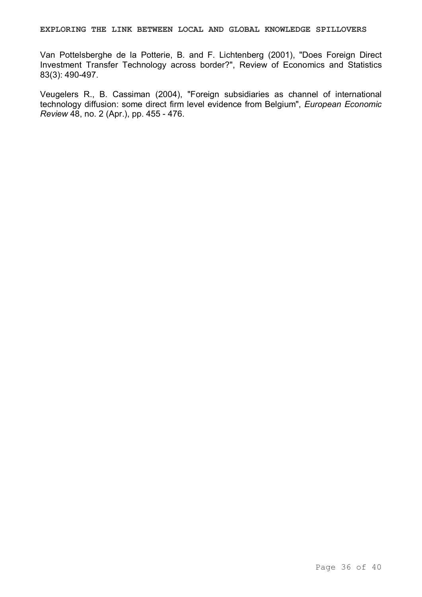Van Pottelsberghe de la Potterie, B. and F. Lichtenberg (2001), "Does Foreign Direct Investment Transfer Technology across border?", Review of Economics and Statistics 83(3): 490-497.

Veugelers R., B. Cassiman (2004), "Foreign subsidiaries as channel of international technology diffusion: some direct firm level evidence from Belgium", *European Economic Review* 48, no. 2 (Apr.), pp. 455 - 476.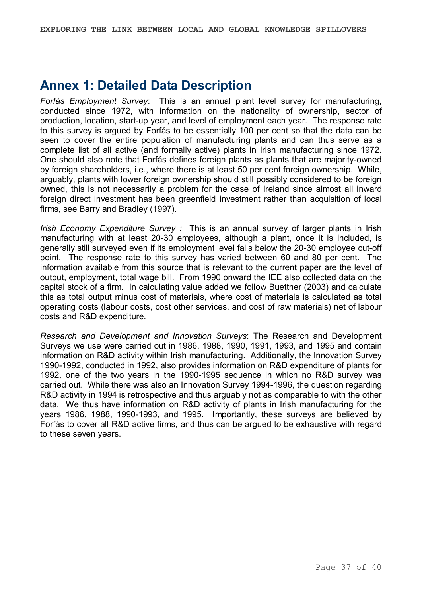# **Annex 1: Detailed Data Description**

*Forfás Employment Survey*: This is an annual plant level survey for manufacturing, conducted since 1972, with information on the nationality of ownership, sector of production, location, start-up year, and level of employment each year. The response rate to this survey is argued by Forfás to be essentially 100 per cent so that the data can be seen to cover the entire population of manufacturing plants and can thus serve as a complete list of all active (and formally active) plants in Irish manufacturing since 1972. One should also note that Forfás defines foreign plants as plants that are majority-owned by foreign shareholders, i.e., where there is at least 50 per cent foreign ownership. While, arguably, plants with lower foreign ownership should still possibly considered to be foreign owned, this is not necessarily a problem for the case of Ireland since almost all inward foreign direct investment has been greenfield investment rather than acquisition of local firms, see Barry and Bradley (1997).

*Irish Economy Expenditure Survey :* This is an annual survey of larger plants in Irish manufacturing with at least 20-30 employees, although a plant, once it is included, is generally still surveyed even if its employment level falls below the 20-30 employee cut-off point. The response rate to this survey has varied between 60 and 80 per cent. The information available from this source that is relevant to the current paper are the level of output, employment, total wage bill. From 1990 onward the IEE also collected data on the capital stock of a firm. In calculating value added we follow Buettner (2003) and calculate this as total output minus cost of materials, where cost of materials is calculated as total operating costs (labour costs, cost other services, and cost of raw materials) net of labour costs and R&D expenditure.

*Research and Development and Innovation Surveys*: The Research and Development Surveys we use were carried out in 1986, 1988, 1990, 1991, 1993, and 1995 and contain information on R&D activity within Irish manufacturing. Additionally, the Innovation Survey 1990-1992, conducted in 1992, also provides information on R&D expenditure of plants for 1992, one of the two years in the 1990-1995 sequence in which no R&D survey was carried out. While there was also an Innovation Survey 1994-1996, the question regarding R&D activity in 1994 is retrospective and thus arguably not as comparable to with the other data. We thus have information on R&D activity of plants in Irish manufacturing for the years 1986, 1988, 1990-1993, and 1995. Importantly, these surveys are believed by Forfás to cover all R&D active firms, and thus can be argued to be exhaustive with regard to these seven years.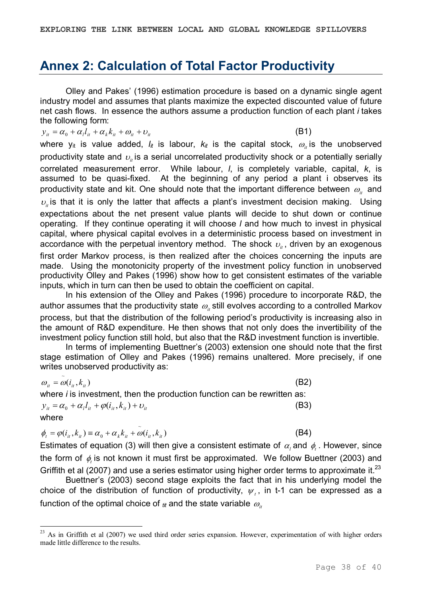### **Annex 2: Calculation of Total Factor Productivity**

Olley and Pakes' (1996) estimation procedure is based on a dynamic single agent industry model and assumes that plants maximize the expected discounted value of future net cash flows. In essence the authors assume a production function of each plant *i* takes the following form:

$$
y_{it} = \alpha_0 + \alpha_l l_{it} + \alpha_k k_{it} + \omega_{it} + \omega_{it}
$$
 (B1)

where y<sub>it</sub> is value added,  $l_{it}$  is labour,  $k_{it}$  is the capital stock,  $\omega_{_{it}}$  is the unobserved productivity state and  $v_{\scriptscriptstyle \hat{u}}$  is a serial uncorrelated productivity shock or a potentially serially correlated measurement error. While labour, *l*, is completely variable, capital, *k*, is assumed to be quasi-fixed. At the beginning of any period a plant i observes its productivity state and kit. One should note that the important difference between  $\omega_{\scriptscriptstyle it}$  and  $v_{\mu}$  is that it is only the latter that affects a plant's investment decision making. Using expectations about the net present value plants will decide to shut down or continue operating. If they continue operating it will choose *l* and how much to invest in physical capital, where physical capital evolves in a deterministic process based on investment in accordance with the perpetual inventory method. The shock  $v_{\scriptscriptstyle it}$ , driven by an exogenous first order Markov process, is then realized after the choices concerning the inputs are made. Using the monotonicity property of the investment policy function in unobserved productivity Olley and Pakes (1996) show how to get consistent estimates of the variable inputs, which in turn can then be used to obtain the coefficient on capital.

In his extension of the Olley and Pakes (1996) procedure to incorporate R&D, the author assumes that the productivity state  $\omega_{\scriptscriptstyle \! u}$  still evolves according to a controlled Markov process, but that the distribution of the following period's productivity is increasing also in the amount of R&D expenditure. He then shows that not only does the invertibility of the investment policy function still hold, but also that the R&D investment function is invertible.

In terms of implementing Buettner's (2003) extension one should note that the first stage estimation of Olley and Pakes (1996) remains unaltered. More precisely, if one writes unobserved productivity as:

$$
\omega_{it} = \tilde{\omega}(i_{it}, k_{it}) \tag{B2}
$$

where *i* is investment, then the production function can be rewritten as:  $y_{it} = \alpha_0 + \alpha_l l_{it} + \varphi(i_{it}, k_{it}) + v_{it}$  (B3)

where

$$
\phi_t = \varphi(i_{it}, k_{it}) \equiv \alpha_0 + \alpha_k k_{it} + \tilde{\omega}(i_{it}, k_{it})
$$
\n(B4)

Estimates of equation (3) will then give a consistent estimate of  $\alpha_i$  and  $\phi_i$ . However, since the form of  $\phi_i$  is not known it must first be approximated. We follow Buettner (2003) and Griffith et al (2007) and use a series estimator using higher order terms to approximate it.<sup>23</sup>

Buettner's (2003) second stage exploits the fact that in his underlying model the choice of the distribution of function of productivity,  $\psi_t$ , in t-1 can be expressed as a function of the optimal choice of  $_{tt}$  and the state variable  $\omega_{it}$ 

<sup>&</sup>lt;sup>23</sup> As in Griffith et al (2007) we used third order series expansion. However, experimentation of with higher orders made little difference to the results.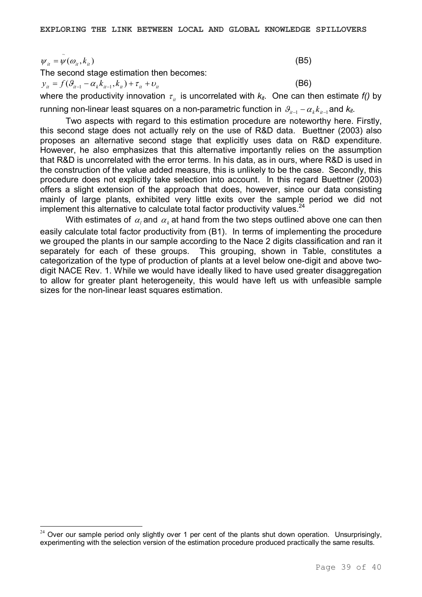$\psi_{it} = \psi(\omega_{it}, k_{it})$  (B5) ~

The second stage estimation then becomes:

 $y_{it} = f(\theta_{it-1} - \alpha_k k_{it-1}, k_{it}) + \tau_{it} + \nu_{it}$  (B6)

where the productivity innovation  $\tau_{i}$  is uncorrelated with  $k_{it}$ . One can then estimate  $f()$  by

running non-linear least squares on a non-parametric function in  $\mathcal{G}_{n-1} - \alpha_k k_{n-1}$  and  $k_{n}$ .

Two aspects with regard to this estimation procedure are noteworthy here. Firstly, this second stage does not actually rely on the use of R&D data. Buettner (2003) also proposes an alternative second stage that explicitly uses data on R&D expenditure. However, he also emphasizes that this alternative importantly relies on the assumption that R&D is uncorrelated with the error terms. In his data, as in ours, where R&D is used in the construction of the value added measure, this is unlikely to be the case. Secondly, this procedure does not explicitly take selection into account. In this regard Buettner (2003) offers a slight extension of the approach that does, however, since our data consisting mainly of large plants, exhibited very little exits over the sample period we did not implement this alternative to calculate total factor productivity values.<sup>24</sup>

With estimates of  $\alpha_{_l}$  and  $\,\alpha_{_k}$  at hand from the two steps outlined above one can then easily calculate total factor productivity from (B1). In terms of implementing the procedure we grouped the plants in our sample according to the Nace 2 digits classification and ran it separately for each of these groups. This grouping, shown in Table, constitutes a categorization of the type of production of plants at a level below one-digit and above twodigit NACE Rev. 1. While we would have ideally liked to have used greater disaggregation to allow for greater plant heterogeneity, this would have left us with unfeasible sample sizes for the non-linear least squares estimation.

 $24$  Over our sample period only slightly over 1 per cent of the plants shut down operation. Unsurprisingly, experimenting with the selection version of the estimation procedure produced practically the same results.